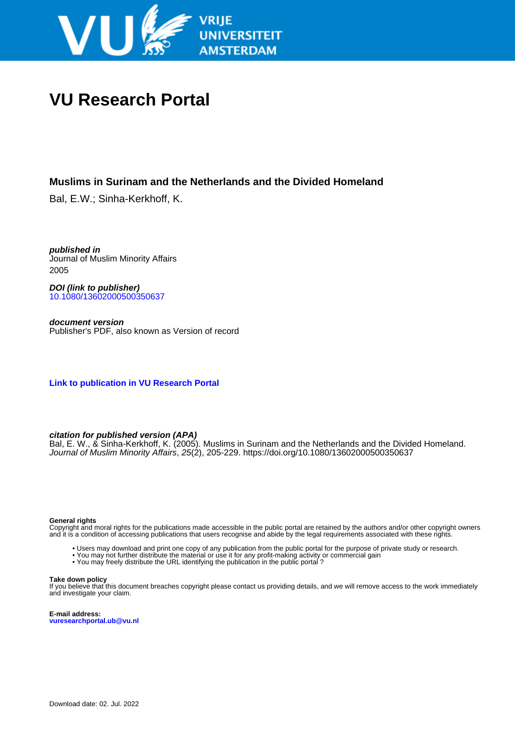

# **VU Research Portal**

# **Muslims in Surinam and the Netherlands and the Divided Homeland**

Bal, E.W.; Sinha-Kerkhoff, K.

**published in** Journal of Muslim Minority Affairs 2005

**DOI (link to publisher)** [10.1080/13602000500350637](https://doi.org/10.1080/13602000500350637)

**document version** Publisher's PDF, also known as Version of record

**[Link to publication in VU Research Portal](https://research.vu.nl/en/publications/6b801185-dbcc-4dbf-8999-a34669317a31)**

# **citation for published version (APA)**

Bal, E. W., & Sinha-Kerkhoff, K. (2005). Muslims in Surinam and the Netherlands and the Divided Homeland. Journal of Muslim Minority Affairs, 25(2), 205-229. <https://doi.org/10.1080/13602000500350637>

## **General rights**

Copyright and moral rights for the publications made accessible in the public portal are retained by the authors and/or other copyright owners and it is a condition of accessing publications that users recognise and abide by the legal requirements associated with these rights.

- Users may download and print one copy of any publication from the public portal for the purpose of private study or research.
- You may not further distribute the material or use it for any profit-making activity or commercial gain
- You may freely distribute the URL identifying the publication in the public portal ?

# **Take down policy**

If you believe that this document breaches copyright please contact us providing details, and we will remove access to the work immediately and investigate your claim.

**E-mail address: vuresearchportal.ub@vu.nl**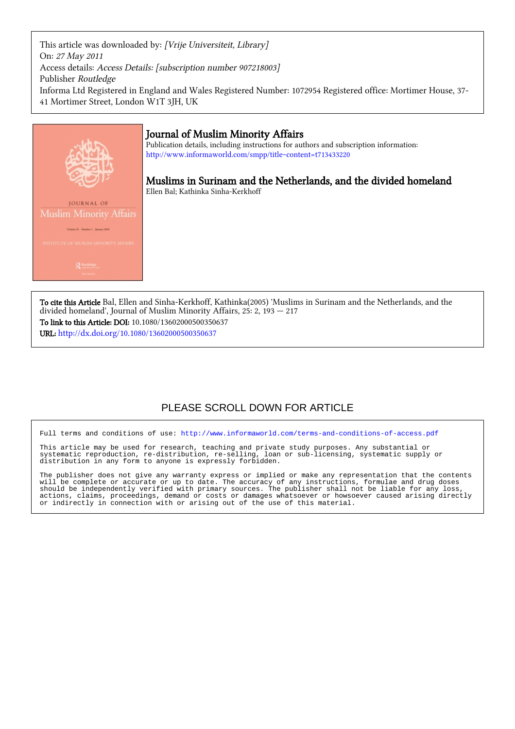This article was downloaded by: [Vrije Universiteit, Library] On: 27 May 2011 Access details: Access Details: [subscription number 907218003] Publisher Routledge Informa Ltd Registered in England and Wales Registered Number: 1072954 Registered office: Mortimer House, 37- 41 Mortimer Street, London W1T 3JH, UK



To cite this Article Bal, Ellen and Sinha-Kerkhoff, Kathinka(2005) 'Muslims in Surinam and the Netherlands, and the divided homeland', Journal of Muslim Minority Affairs, 25: 2, 193 — 217

To link to this Article: DOI: 10.1080/13602000500350637 URL: <http://dx.doi.org/10.1080/13602000500350637>

# PLEASE SCROLL DOWN FOR ARTICLE

Full terms and conditions of use:<http://www.informaworld.com/terms-and-conditions-of-access.pdf>

This article may be used for research, teaching and private study purposes. Any substantial or systematic reproduction, re-distribution, re-selling, loan or sub-licensing, systematic supply or distribution in any form to anyone is expressly forbidden.

The publisher does not give any warranty express or implied or make any representation that the contents will be complete or accurate or up to date. The accuracy of any instructions, formulae and drug doses should be independently verified with primary sources. The publisher shall not be liable for any loss, actions, claims, proceedings, demand or costs or damages whatsoever or howsoever caused arising directly or indirectly in connection with or arising out of the use of this material.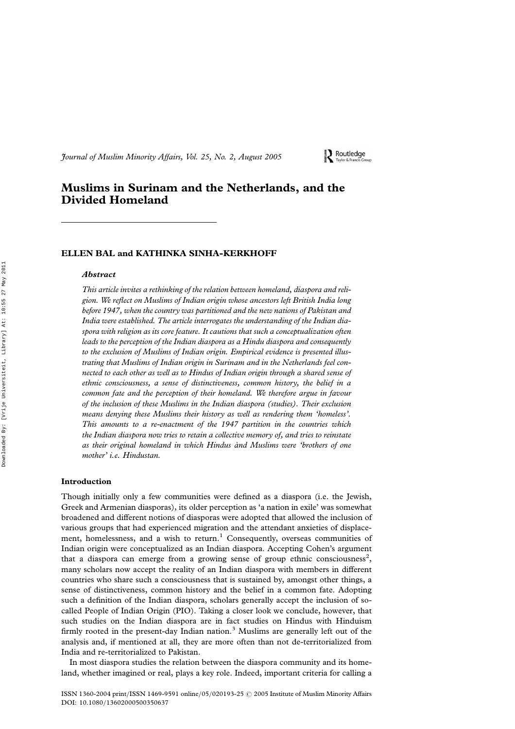# Muslims in Surinam and the Netherlands, and the Divided Homeland

# ELLEN BAL and KATHINKA SINHA-KERKHOFF

# **Abstract**

This article invites a rethinking of the relation between homeland, diaspora and religion. We reflect on Muslims of Indian origin whose ancestors left British India long before 1947, when the country was partitioned and the new nations of Pakistan and India were established. The article interrogates the understanding of the Indian diaspora with religion as its core feature. It cautions that such a conceptualization often leads to the perception of the Indian diaspora as a Hindu diaspora and consequently to the exclusion of Muslims of Indian origin. Empirical evidence is presented illustrating that Muslims of Indian origin in Surinam and in the Netherlands feel connected to each other as well as to Hindus of Indian origin through a shared sense of ethnic consciousness, a sense of distinctiveness, common history, the belief in a common fate and the perception of their homeland. We therefore argue in favour of the inclusion of these Muslims in the Indian diaspora (studies). Their exclusion means denying these Muslims their history as well as rendering them 'homeless'. This amounts to a re-enactment of the 1947 partition in the countries which the Indian diaspora now tries to retain a collective memory of, and tries to reinstate as their original homeland in which Hindus and Muslims were 'brothers of one mother' i.e. Hindustan.

# Introduction

Though initially only a few communities were defined as a diaspora (i.e. the Jewish, Greek and Armenian diasporas), its older perception as 'a nation in exile' was somewhat broadened and different notions of diasporas were adopted that allowed the inclusion of various groups that had experienced migration and the attendant anxieties of displacement, homelessness, and a wish to return.<sup>1</sup> Consequently, overseas communities of Indian origin were conceptualized as an Indian diaspora. Accepting Cohen's argument that a diaspora can emerge from a growing sense of group ethnic consciousness<sup>2</sup>, many scholars now accept the reality of an Indian diaspora with members in different countries who share such a consciousness that is sustained by, amongst other things, a sense of distinctiveness, common history and the belief in a common fate. Adopting such a definition of the Indian diaspora, scholars generally accept the inclusion of socalled People of Indian Origin (PIO). Taking a closer look we conclude, however, that such studies on the Indian diaspora are in fact studies on Hindus with Hinduism firmly rooted in the present-day Indian nation.<sup>3</sup> Muslims are generally left out of the analysis and, if mentioned at all, they are more often than not de-territorialized from India and re-territorialized to Pakistan.

In most diaspora studies the relation between the diaspora community and its homeland, whether imagined or real, plays a key role. Indeed, important criteria for calling a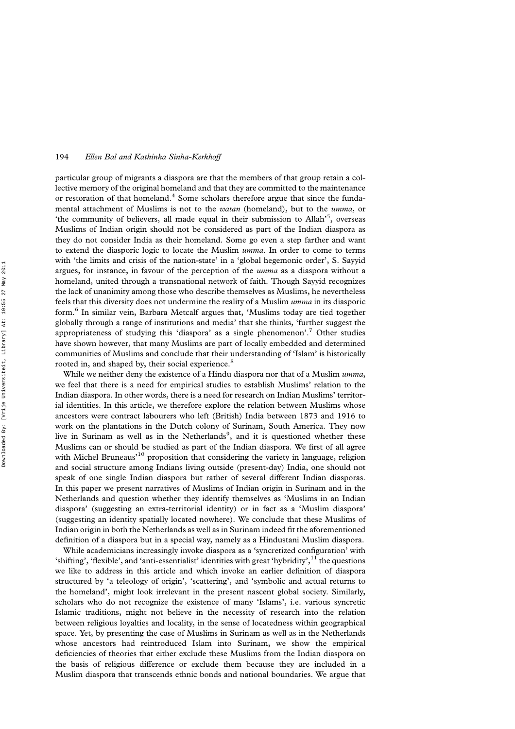particular group of migrants a diaspora are that the members of that group retain a collective memory of the original homeland and that they are committed to the maintenance or restoration of that homeland.<sup>4</sup> Some scholars therefore argue that since the fundamental attachment of Muslims is not to the watan (homeland), but to the umma, or 'the community of believers, all made equal in their submission to Allah<sup>55</sup>, overseas Muslims of Indian origin should not be considered as part of the Indian diaspora as they do not consider India as their homeland. Some go even a step farther and want to extend the diasporic logic to locate the Muslim umma. In order to come to terms with 'the limits and crisis of the nation-state' in a 'global hegemonic order', S. Sayyid argues, for instance, in favour of the perception of the umma as a diaspora without a homeland, united through a transnational network of faith. Though Sayyid recognizes the lack of unanimity among those who describe themselves as Muslims, he nevertheless feels that this diversity does not undermine the reality of a Muslim umma in its diasporic form.<sup>6</sup> In similar vein, Barbara Metcalf argues that, 'Muslims today are tied together globally through a range of institutions and media' that she thinks, 'further suggest the appropriateness of studying this 'diaspora' as a single phenomenon'.<sup>7</sup> Other studies have shown however, that many Muslims are part of locally embedded and determined communities of Muslims and conclude that their understanding of 'Islam' is historically rooted in, and shaped by, their social experience.<sup>8</sup>

While we neither deny the existence of a Hindu diaspora nor that of a Muslim umma, we feel that there is a need for empirical studies to establish Muslims' relation to the Indian diaspora. In other words, there is a need for research on Indian Muslims' territorial identities. In this article, we therefore explore the relation between Muslims whose ancestors were contract labourers who left (British) India between 1873 and 1916 to work on the plantations in the Dutch colony of Surinam, South America. They now live in Surinam as well as in the Netherlands<sup>9</sup>, and it is questioned whether these Muslims can or should be studied as part of the Indian diaspora. We first of all agree with Michel Bruneaus'<sup>10</sup> proposition that considering the variety in language, religion and social structure among Indians living outside (present-day) India, one should not speak of one single Indian diaspora but rather of several different Indian diasporas. In this paper we present narratives of Muslims of Indian origin in Surinam and in the Netherlands and question whether they identify themselves as 'Muslims in an Indian diaspora' (suggesting an extra-territorial identity) or in fact as a 'Muslim diaspora' (suggesting an identity spatially located nowhere). We conclude that these Muslims of Indian origin in both the Netherlands as well as in Surinam indeed fit the aforementioned definition of a diaspora but in a special way, namely as a Hindustani Muslim diaspora.

While academicians increasingly invoke diaspora as a 'syncretized configuration' with 'shifting', 'flexible', and 'anti-essentialist' identities with great 'hybridity',<sup>11</sup> the questions we like to address in this article and which invoke an earlier definition of diaspora structured by 'a teleology of origin', 'scattering', and 'symbolic and actual returns to the homeland', might look irrelevant in the present nascent global society. Similarly, scholars who do not recognize the existence of many 'Islams', i.e. various syncretic Islamic traditions, might not believe in the necessity of research into the relation between religious loyalties and locality, in the sense of locatedness within geographical space. Yet, by presenting the case of Muslims in Surinam as well as in the Netherlands whose ancestors had reintroduced Islam into Surinam, we show the empirical deficiencies of theories that either exclude these Muslims from the Indian diaspora on the basis of religious difference or exclude them because they are included in a Muslim diaspora that transcends ethnic bonds and national boundaries. We argue that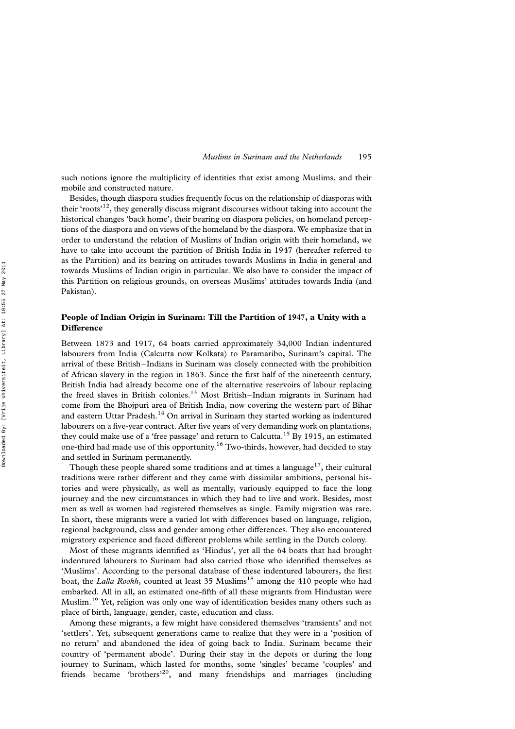such notions ignore the multiplicity of identities that exist among Muslims, and their mobile and constructed nature.

Besides, though diaspora studies frequently focus on the relationship of diasporas with their 'roots'12, they generally discuss migrant discourses without taking into account the historical changes 'back home', their bearing on diaspora policies, on homeland perceptions of the diaspora and on views of the homeland by the diaspora. We emphasize that in order to understand the relation of Muslims of Indian origin with their homeland, we have to take into account the partition of British India in 1947 (hereafter referred to as the Partition) and its bearing on attitudes towards Muslims in India in general and towards Muslims of Indian origin in particular. We also have to consider the impact of this Partition on religious grounds, on overseas Muslims' attitudes towards India (and Pakistan).

# People of Indian Origin in Surinam: Till the Partition of 1947, a Unity with a **Difference**

Between 1873 and 1917, 64 boats carried approximately 34,000 Indian indentured labourers from India (Calcutta now Kolkata) to Paramaribo, Surinam's capital. The arrival of these British– Indians in Surinam was closely connected with the prohibition of African slavery in the region in 1863. Since the first half of the nineteenth century, British India had already become one of the alternative reservoirs of labour replacing the freed slaves in British colonies.<sup>13</sup> Most British-Indian migrants in Surinam had come from the Bhojpuri area of British India, now covering the western part of Bihar and eastern Uttar Pradesh.<sup>14</sup> On arrival in Surinam they started working as indentured labourers on a five-year contract. After five years of very demanding work on plantations, they could make use of a 'free passage' and return to Calcutta.<sup>15</sup> By 1915, an estimated one-third had made use of this opportunity.<sup>16</sup> Two-thirds, however, had decided to stay and settled in Surinam permanently.

Though these people shared some traditions and at times a language $^{17}$ , their cultural traditions were rather different and they came with dissimilar ambitions, personal histories and were physically, as well as mentally, variously equipped to face the long journey and the new circumstances in which they had to live and work. Besides, most men as well as women had registered themselves as single. Family migration was rare. In short, these migrants were a varied lot with differences based on language, religion, regional background, class and gender among other differences. They also encountered migratory experience and faced different problems while settling in the Dutch colony.

Most of these migrants identified as 'Hindus', yet all the 64 boats that had brought indentured labourers to Surinam had also carried those who identified themselves as 'Muslims'. According to the personal database of these indentured labourers, the first boat, the Lalla Rookh, counted at least 35 Muslims<sup>18</sup> among the 410 people who had embarked. All in all, an estimated one-fifth of all these migrants from Hindustan were Muslim.<sup>19</sup> Yet, religion was only one way of identification besides many others such as place of birth, language, gender, caste, education and class.

Among these migrants, a few might have considered themselves 'transients' and not 'settlers'. Yet, subsequent generations came to realize that they were in a 'position of no return' and abandoned the idea of going back to India. Surinam became their country of 'permanent abode'. During their stay in the depots or during the long journey to Surinam, which lasted for months, some 'singles' became 'couples' and friends became 'brothers'20, and many friendships and marriages (including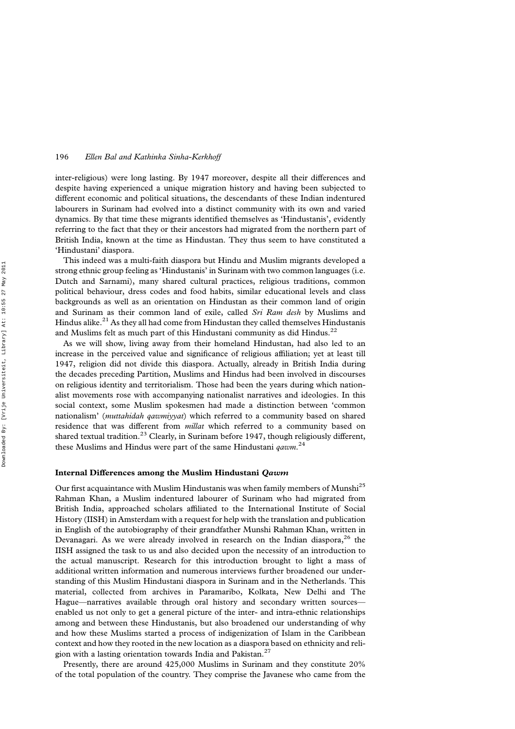inter-religious) were long lasting. By 1947 moreover, despite all their differences and despite having experienced a unique migration history and having been subjected to different economic and political situations, the descendants of these Indian indentured labourers in Surinam had evolved into a distinct community with its own and varied dynamics. By that time these migrants identified themselves as 'Hindustanis', evidently referring to the fact that they or their ancestors had migrated from the northern part of British India, known at the time as Hindustan. They thus seem to have constituted a 'Hindustani' diaspora.

This indeed was a multi-faith diaspora but Hindu and Muslim migrants developed a strong ethnic group feeling as 'Hindustanis' in Surinam with two common languages (i.e. Dutch and Sarnami), many shared cultural practices, religious traditions, common political behaviour, dress codes and food habits, similar educational levels and class backgrounds as well as an orientation on Hindustan as their common land of origin and Surinam as their common land of exile, called Sri Ram desh by Muslims and Hindus alike. $^{21}$  As they all had come from Hindustan they called themselves Hindustanis and Muslims felt as much part of this Hindustani community as did Hindus.<sup>22</sup>

As we will show, living away from their homeland Hindustan, had also led to an increase in the perceived value and significance of religious affiliation; yet at least till 1947, religion did not divide this diaspora. Actually, already in British India during the decades preceding Partition, Muslims and Hindus had been involved in discourses on religious identity and territorialism. Those had been the years during which nationalist movements rose with accompanying nationalist narratives and ideologies. In this social context, some Muslim spokesmen had made a distinction between 'common nationalism' (*muttahidah qawmiyyat*) which referred to a community based on shared residence that was different from *millat* which referred to a community based on shared textual tradition.<sup>23</sup> Clearly, in Surinam before 1947, though religiously different, these Muslims and Hindus were part of the same Hindustani  $qawm.<sup>24</sup>$ 

#### Internal Differences among the Muslim Hindustani Qawm

Our first acquaintance with Muslim Hindustanis was when family members of Munshi<sup>25</sup> Rahman Khan, a Muslim indentured labourer of Surinam who had migrated from British India, approached scholars affiliated to the International Institute of Social History (IISH) in Amsterdam with a request for help with the translation and publication in English of the autobiography of their grandfather Munshi Rahman Khan, written in Devanagari. As we were already involved in research on the Indian diaspora,<sup>26</sup> the IISH assigned the task to us and also decided upon the necessity of an introduction to the actual manuscript. Research for this introduction brought to light a mass of additional written information and numerous interviews further broadened our understanding of this Muslim Hindustani diaspora in Surinam and in the Netherlands. This material, collected from archives in Paramaribo, Kolkata, New Delhi and The Hague—narratives available through oral history and secondary written sources enabled us not only to get a general picture of the inter- and intra-ethnic relationships among and between these Hindustanis, but also broadened our understanding of why and how these Muslims started a process of indigenization of Islam in the Caribbean context and how they rooted in the new location as a diaspora based on ethnicity and religion with a lasting orientation towards India and Pakistan.<sup>27</sup>

Presently, there are around 425,000 Muslims in Surinam and they constitute 20% of the total population of the country. They comprise the Javanese who came from the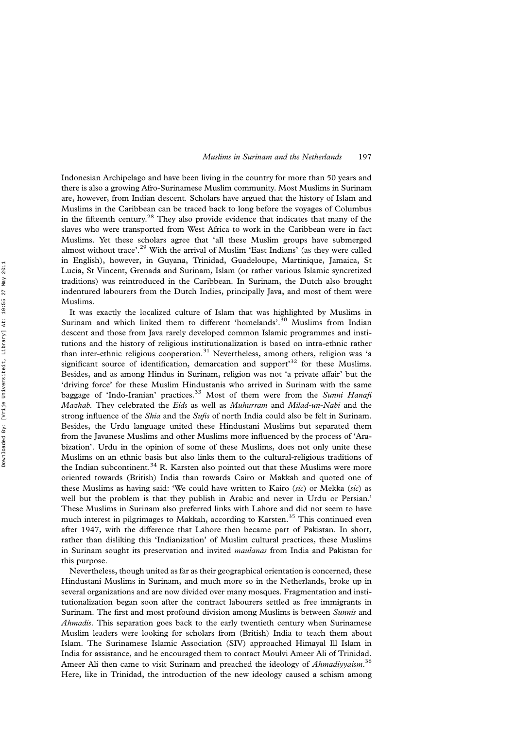Indonesian Archipelago and have been living in the country for more than 50 years and there is also a growing Afro-Surinamese Muslim community. Most Muslims in Surinam are, however, from Indian descent. Scholars have argued that the history of Islam and Muslims in the Caribbean can be traced back to long before the voyages of Columbus in the fifteenth century.<sup>28</sup> They also provide evidence that indicates that many of the slaves who were transported from West Africa to work in the Caribbean were in fact Muslims. Yet these scholars agree that 'all these Muslim groups have submerged almost without trace'.<sup>29</sup> With the arrival of Muslim 'East Indians' (as they were called in English), however, in Guyana, Trinidad, Guadeloupe, Martinique, Jamaica, St Lucia, St Vincent, Grenada and Surinam, Islam (or rather various Islamic syncretized traditions) was reintroduced in the Caribbean. In Surinam, the Dutch also brought indentured labourers from the Dutch Indies, principally Java, and most of them were Muslims.

It was exactly the localized culture of Islam that was highlighted by Muslims in Surinam and which linked them to different 'homelands'.<sup>30</sup> Muslims from Indian descent and those from Java rarely developed common Islamic programmes and institutions and the history of religious institutionalization is based on intra-ethnic rather than inter-ethnic religious cooperation.<sup>31</sup> Nevertheless, among others, religion was 'a significant source of identification, demarcation and support $32$  for these Muslims. Besides, and as among Hindus in Surinam, religion was not 'a private affair' but the 'driving force' for these Muslim Hindustanis who arrived in Surinam with the same baggage of 'Indo-Iranian' practices.<sup>33</sup> Most of them were from the Sunni Hanafi Mazhab. They celebrated the Eids as well as Muhurram and Milad-un-Nabi and the strong influence of the *Shia* and the *Sufis* of north India could also be felt in Surinam. Besides, the Urdu language united these Hindustani Muslims but separated them from the Javanese Muslims and other Muslims more influenced by the process of 'Arabization'. Urdu in the opinion of some of these Muslims, does not only unite these Muslims on an ethnic basis but also links them to the cultural-religious traditions of the Indian subcontinent.<sup>34</sup> R. Karsten also pointed out that these Muslims were more oriented towards (British) India than towards Cairo or Makkah and quoted one of these Muslims as having said: 'We could have written to Kairo (sic) or Mekka (sic) as well but the problem is that they publish in Arabic and never in Urdu or Persian.' These Muslims in Surinam also preferred links with Lahore and did not seem to have much interest in pilgrimages to Makkah, according to Karsten.<sup>35</sup> This continued even after 1947, with the difference that Lahore then became part of Pakistan. In short, rather than disliking this 'Indianization' of Muslim cultural practices, these Muslims in Surinam sought its preservation and invited maulanas from India and Pakistan for this purpose.

Nevertheless, though united as far as their geographical orientation is concerned, these Hindustani Muslims in Surinam, and much more so in the Netherlands, broke up in several organizations and are now divided over many mosques. Fragmentation and institutionalization began soon after the contract labourers settled as free immigrants in Surinam. The first and most profound division among Muslims is between Sunnis and Ahmadis. This separation goes back to the early twentieth century when Surinamese Muslim leaders were looking for scholars from (British) India to teach them about Islam. The Surinamese Islamic Association (SIV) approached Himayal Ill Islam in India for assistance, and he encouraged them to contact Moulvi Ameer Ali of Trinidad. Ameer Ali then came to visit Surinam and preached the ideology of *Ahmadiyyaism*.<sup>36</sup> Here, like in Trinidad, the introduction of the new ideology caused a schism among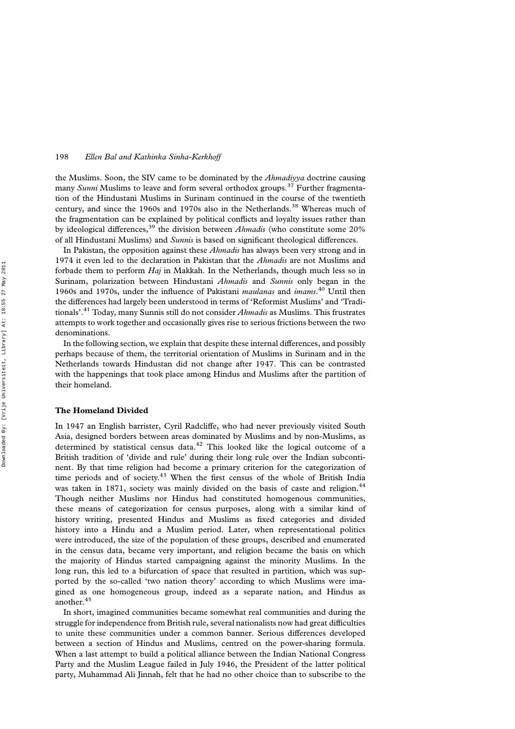the Muslims. Soon, the SIV came to be dominated by the *Ahmadiyya* doctrine causing many *Sunni* Muslims to leave and form several orthodox groups.<sup>37</sup> Further fragmentation of the Hindustani Muslims in Surinam continued in the course of the twentieth century, and since the 1960s and 1970s also in the Netherlands.<sup>38</sup> Whereas much of the fragmentation can be explained by political conflicts and loyalty issues rather than by ideological differences,<sup>39</sup> the division between *Ahmadis* (who constitute some 20%) of all Hindustani Muslims) and *Sunnis* is based on significant theological differences.

In Pakistan, the opposition against these *Ahmadis* has always been very strong and in 1974 it even led to the declaration in Pakistan that the *Ahmadis* are not Muslims and forbade them to perform Haj in Makkah. In the Netherlands, though much less so in Surinam, polarization between Hindustani Ahmadis and Sunnis only began in the 1960s and 1970s, under the influence of Pakistani maulanas and imams.<sup>40</sup> Until then the differences had largely been understood in terms of 'Reformist Muslims' and 'Traditionals'.<sup>41</sup> Today, many Sunnis still do not consider *Ahmadis* as Muslims. This frustrates attempts to work together and occasionally gives rise to serious frictions between the two denominations.

In the following section, we explain that despite these internal differences, and possibly perhaps because of them, the territorial orientation of Muslims in Surinam and in the Netherlands towards Hindustan did not change after 1947. This can be contrasted with the happenings that took place among Hindus and Muslims after the partition of their homeland.

#### The Homeland Divided

In 1947 an English barrister, Cyril Radcliffe, who had never previously visited South Asia, designed borders between areas dominated by Muslims and by non-Muslims, as determined by statistical census data.<sup>42</sup> This looked like the logical outcome of a British tradition of 'divide and rule' during their long rule over the Indian subcontinent. By that time religion had become a primary criterion for the categorization of time periods and of society. $43$  When the first census of the whole of British India was taken in 1871, society was mainly divided on the basis of caste and religion.<sup>44</sup> Though neither Muslims nor Hindus had constituted homogenous communities, these means of categorization for census purposes, along with a similar kind of history writing, presented Hindus and Muslims as fixed categories and divided history into a Hindu and a Muslim period. Later, when representational politics were introduced, the size of the population of these groups, described and enumerated in the census data, became very important, and religion became the basis on which the majority of Hindus started campaigning against the minority Muslims. In the long run, this led to a bifurcation of space that resulted in partition, which was supported by the so-called 'two nation theory' according to which Muslims were imagined as one homogeneous group, indeed as a separate nation, and Hindus as another.<sup>45</sup>

In short, imagined communities became somewhat real communities and during the struggle for independence from British rule, several nationalists now had great difficulties to unite these communities under a common banner. Serious differences developed between a section of Hindus and Muslims, centred on the power-sharing formula. When a last attempt to build a political alliance between the Indian National Congress Party and the Muslim League failed in July 1946, the President of the latter political party, Muhammad Ali Jinnah, felt that he had no other choice than to subscribe to the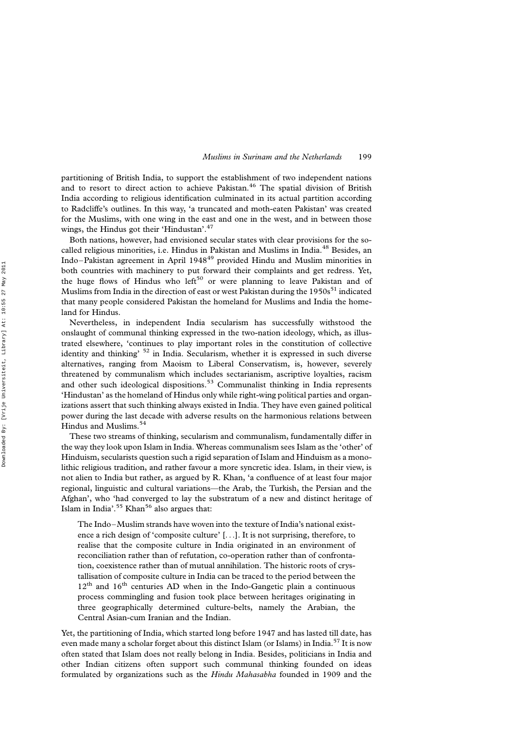partitioning of British India, to support the establishment of two independent nations and to resort to direct action to achieve Pakistan.<sup>46</sup> The spatial division of British India according to religious identification culminated in its actual partition according to Radcliffe's outlines. In this way, 'a truncated and moth-eaten Pakistan' was created for the Muslims, with one wing in the east and one in the west, and in between those wings, the Hindus got their 'Hindustan'.<sup>47</sup>

Both nations, however, had envisioned secular states with clear provisions for the socalled religious minorities, i.e. Hindus in Pakistan and Muslims in India.<sup>48</sup> Besides, an Indo-Pakistan agreement in April 1948<sup>49</sup> provided Hindu and Muslim minorities in both countries with machinery to put forward their complaints and get redress. Yet, the huge flows of Hindus who left<sup>50</sup> or were planning to leave Pakistan and of Muslims from India in the direction of east or west Pakistan during the 1950s<sup>51</sup> indicated that many people considered Pakistan the homeland for Muslims and India the homeland for Hindus.

Nevertheless, in independent India secularism has successfully withstood the onslaught of communal thinking expressed in the two-nation ideology, which, as illustrated elsewhere, 'continues to play important roles in the constitution of collective identity and thinking' <sup>52</sup> in India. Secularism, whether it is expressed in such diverse alternatives, ranging from Maoism to Liberal Conservatism, is, however, severely threatened by communalism which includes sectarianism, ascriptive loyalties, racism and other such ideological dispositions.<sup>53</sup> Communalist thinking in India represents 'Hindustan' as the homeland of Hindus only while right-wing political parties and organizations assert that such thinking always existed in India. They have even gained political power during the last decade with adverse results on the harmonious relations between Hindus and Muslims.<sup>54</sup>

These two streams of thinking, secularism and communalism, fundamentally differ in the way they look upon Islam in India. Whereas communalism sees Islam as the 'other' of Hinduism, secularists question such a rigid separation of Islam and Hinduism as a monolithic religious tradition, and rather favour a more syncretic idea. Islam, in their view, is not alien to India but rather, as argued by R. Khan, 'a confluence of at least four major regional, linguistic and cultural variations—the Arab, the Turkish, the Persian and the Afghan', who 'had converged to lay the substratum of a new and distinct heritage of Islam in India'.<sup>55</sup> Khan<sup>56</sup> also argues that:

The Indo–Muslim strands have woven into the texture of India's national existence a rich design of 'composite culture' [...]. It is not surprising, therefore, to realise that the composite culture in India originated in an environment of reconciliation rather than of refutation, co-operation rather than of confrontation, coexistence rather than of mutual annihilation. The historic roots of crystallisation of composite culture in India can be traced to the period between the  $12<sup>th</sup>$  and  $16<sup>th</sup>$  centuries AD when in the Indo-Gangetic plain a continuous process commingling and fusion took place between heritages originating in three geographically determined culture-belts, namely the Arabian, the Central Asian-cum Iranian and the Indian.

Yet, the partitioning of India, which started long before 1947 and has lasted till date, has even made many a scholar forget about this distinct Islam (or Islams) in India.<sup>57</sup> It is now often stated that Islam does not really belong in India. Besides, politicians in India and other Indian citizens often support such communal thinking founded on ideas formulated by organizations such as the Hindu Mahasabha founded in 1909 and the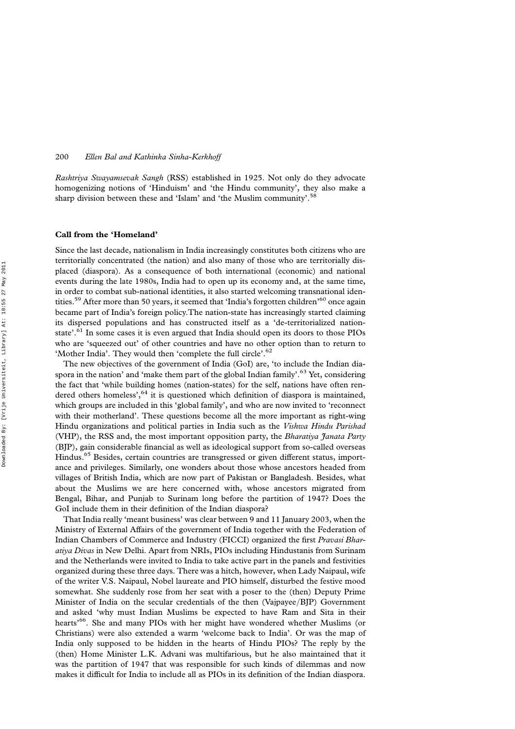Rashtriya Swayamsevak Sangh (RSS) established in 1925. Not only do they advocate homogenizing notions of 'Hinduism' and 'the Hindu community', they also make a sharp division between these and 'Islam' and 'the Muslim community'.<sup>58</sup>

## Call from the 'Homeland'

Since the last decade, nationalism in India increasingly constitutes both citizens who are territorially concentrated (the nation) and also many of those who are territorially displaced (diaspora). As a consequence of both international (economic) and national events during the late 1980s, India had to open up its economy and, at the same time, in order to combat sub-national identities, it also started welcoming transnational identities.<sup>59</sup> After more than 50 years, it seemed that 'India's forgotten children'<sup>60</sup> once again became part of India's foreign policy.The nation-state has increasingly started claiming its dispersed populations and has constructed itself as a 'de-territorialized nationstate'.<sup>61</sup> In some cases it is even argued that India should open its doors to those PIOs who are 'squeezed out' of other countries and have no other option than to return to 'Mother India'. They would then 'complete the full circle'.<sup>62</sup>

The new objectives of the government of India (GoI) are, 'to include the Indian diaspora in the nation' and 'make them part of the global Indian family'.<sup>63</sup> Yet, considering the fact that 'while building homes (nation-states) for the self, nations have often rendered others homeless', $^{64}$  it is questioned which definition of diaspora is maintained, which groups are included in this 'global family', and who are now invited to 'reconnect with their motherland'. These questions become all the more important as right-wing Hindu organizations and political parties in India such as the Vishwa Hindu Parishad (VHP), the RSS and, the most important opposition party, the Bharatiya Janata Party (BJP), gain considerable financial as well as ideological support from so-called overseas Hindus.<sup>65</sup> Besides, certain countries are transgressed or given different status, importance and privileges. Similarly, one wonders about those whose ancestors headed from villages of British India, which are now part of Pakistan or Bangladesh. Besides, what about the Muslims we are here concerned with, whose ancestors migrated from Bengal, Bihar, and Punjab to Surinam long before the partition of 1947? Does the GoI include them in their definition of the Indian diaspora?

That India really 'meant business' was clear between 9 and 11 January 2003, when the Ministry of External Affairs of the government of India together with the Federation of Indian Chambers of Commerce and Industry (FICCI) organized the first Pravasi Bharatiya Divas in New Delhi. Apart from NRIs, PIOs including Hindustanis from Surinam and the Netherlands were invited to India to take active part in the panels and festivities organized during these three days. There was a hitch, however, when Lady Naipaul, wife of the writer V.S. Naipaul, Nobel laureate and PIO himself, disturbed the festive mood somewhat. She suddenly rose from her seat with a poser to the (then) Deputy Prime Minister of India on the secular credentials of the then (Vajpayee/BJP) Government and asked 'why must Indian Muslims be expected to have Ram and Sita in their hearts'66. She and many PIOs with her might have wondered whether Muslims (or Christians) were also extended a warm 'welcome back to India'. Or was the map of India only supposed to be hidden in the hearts of Hindu PIOs? The reply by the (then) Home Minister L.K. Advani was multifarious, but he also maintained that it was the partition of 1947 that was responsible for such kinds of dilemmas and now makes it difficult for India to include all as PIOs in its definition of the Indian diaspora.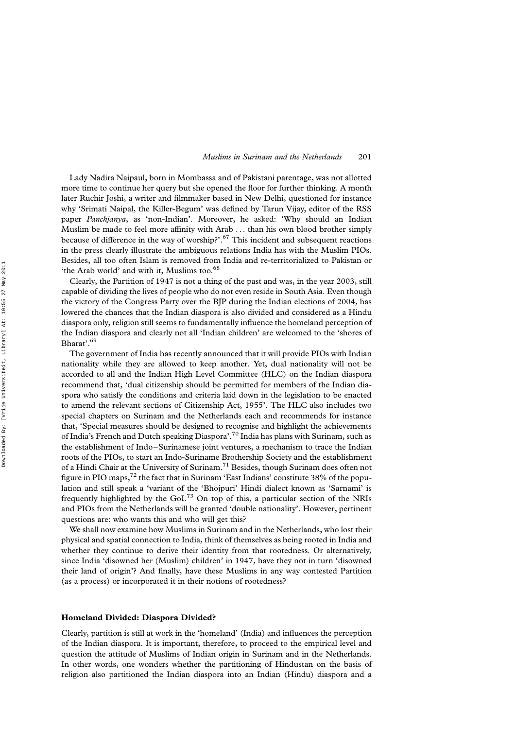Lady Nadira Naipaul, born in Mombassa and of Pakistani parentage, was not allotted more time to continue her query but she opened the floor for further thinking. A month later Ruchir Joshi, a writer and filmmaker based in New Delhi, questioned for instance why 'Srimati Naipal, the Killer-Begum' was defined by Tarun Vijay, editor of the RSS paper Panchjanya, as 'non-Indian'. Moreover, he asked: 'Why should an Indian Muslim be made to feel more affinity with Arab ... than his own blood brother simply because of difference in the way of worship?'.<sup>67</sup> This incident and subsequent reactions in the press clearly illustrate the ambiguous relations India has with the Muslim PIOs. Besides, all too often Islam is removed from India and re-territorialized to Pakistan or 'the Arab world' and with it, Muslims too.<sup>68</sup>

Clearly, the Partition of 1947 is not a thing of the past and was, in the year 2003, still capable of dividing the lives of people who do not even reside in South Asia. Even though the victory of the Congress Party over the BJP during the Indian elections of 2004, has lowered the chances that the Indian diaspora is also divided and considered as a Hindu diaspora only, religion still seems to fundamentally influence the homeland perception of the Indian diaspora and clearly not all 'Indian children' are welcomed to the 'shores of Bharat'.<sup>69</sup>

The government of India has recently announced that it will provide PIOs with Indian nationality while they are allowed to keep another. Yet, dual nationality will not be accorded to all and the Indian High Level Committee (HLC) on the Indian diaspora recommend that, 'dual citizenship should be permitted for members of the Indian diaspora who satisfy the conditions and criteria laid down in the legislation to be enacted to amend the relevant sections of Citizenship Act, 1955'. The HLC also includes two special chapters on Surinam and the Netherlands each and recommends for instance that, 'Special measures should be designed to recognise and highlight the achievements of India's French and Dutch speaking Diaspora'.<sup>70</sup> India has plans with Surinam, such as the establishment of Indo –Surinamese joint ventures, a mechanism to trace the Indian roots of the PIOs, to start an Indo-Suriname Brothership Society and the establishment of a Hindi Chair at the University of Surinam.<sup>71</sup> Besides, though Surinam does often not figure in PIO maps,  $72$  the fact that in Surinam 'East Indians' constitute 38% of the population and still speak a 'variant of the 'Bhojpuri' Hindi dialect known as 'Sarnami' is frequently highlighted by the GoI.<sup>73</sup> On top of this, a particular section of the NRIs and PIOs from the Netherlands will be granted 'double nationality'. However, pertinent questions are: who wants this and who will get this?

We shall now examine how Muslims in Surinam and in the Netherlands, who lost their physical and spatial connection to India, think of themselves as being rooted in India and whether they continue to derive their identity from that rootedness. Or alternatively, since India 'disowned her (Muslim) children' in 1947, have they not in turn 'disowned their land of origin'? And finally, have these Muslims in any way contested Partition (as a process) or incorporated it in their notions of rootedness?

#### Homeland Divided: Diaspora Divided?

Clearly, partition is still at work in the 'homeland' (India) and influences the perception of the Indian diaspora. It is important, therefore, to proceed to the empirical level and question the attitude of Muslims of Indian origin in Surinam and in the Netherlands. In other words, one wonders whether the partitioning of Hindustan on the basis of religion also partitioned the Indian diaspora into an Indian (Hindu) diaspora and a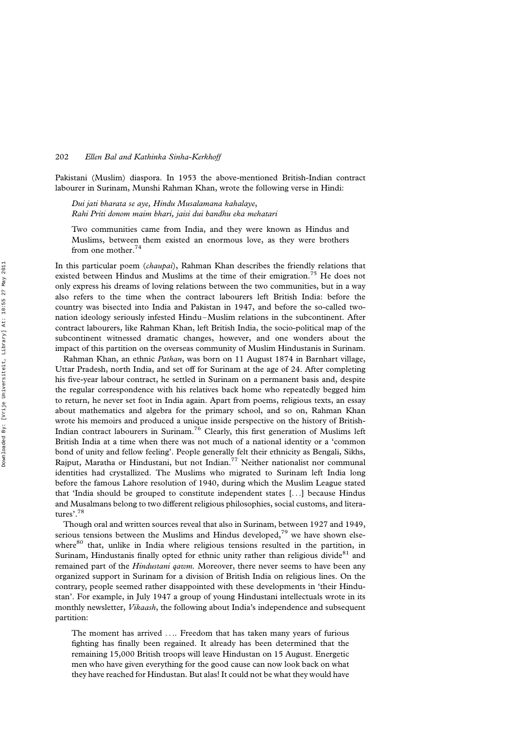Pakistani (Muslim) diaspora. In 1953 the above-mentioned British-Indian contract labourer in Surinam, Munshi Rahman Khan, wrote the following verse in Hindi:

Dui jati bharata se aye, Hindu Musalamana kahalaye, Rahi Priti donom maim bhari, jaisi dui bandhu eka mehatari

Two communities came from India, and they were known as Hindus and Muslims, between them existed an enormous love, as they were brothers from one mother.<sup>74</sup>

In this particular poem (chaupai), Rahman Khan describes the friendly relations that existed between Hindus and Muslims at the time of their emigration.<sup>75</sup> He does not only express his dreams of loving relations between the two communities, but in a way also refers to the time when the contract labourers left British India: before the country was bisected into India and Pakistan in 1947, and before the so-called twonation ideology seriously infested Hindu-Muslim relations in the subcontinent. After contract labourers, like Rahman Khan, left British India, the socio-political map of the subcontinent witnessed dramatic changes, however, and one wonders about the impact of this partition on the overseas community of Muslim Hindustanis in Surinam.

Rahman Khan, an ethnic Pathan, was born on 11 August 1874 in Barnhart village, Uttar Pradesh, north India, and set off for Surinam at the age of 24. After completing his five-year labour contract, he settled in Surinam on a permanent basis and, despite the regular correspondence with his relatives back home who repeatedly begged him to return, he never set foot in India again. Apart from poems, religious texts, an essay about mathematics and algebra for the primary school, and so on, Rahman Khan wrote his memoirs and produced a unique inside perspective on the history of British-Indian contract labourers in Surinam.<sup>76</sup> Clearly, this first generation of Muslims left British India at a time when there was not much of a national identity or a 'common bond of unity and fellow feeling'. People generally felt their ethnicity as Bengali, Sikhs, Rajput, Maratha or Hindustani, but not Indian.<sup>77</sup> Neither nationalist nor communal identities had crystallized. The Muslims who migrated to Surinam left India long before the famous Lahore resolution of 1940, during which the Muslim League stated that 'India should be grouped to constitute independent states [...] because Hindus and Musalmans belong to two different religious philosophies, social customs, and literatures'.<sup>78</sup>

Though oral and written sources reveal that also in Surinam, between 1927 and 1949, serious tensions between the Muslims and Hindus developed,<sup>79</sup> we have shown elsewhere<sup>80</sup> that, unlike in India where religious tensions resulted in the partition, in Surinam, Hindustanis finally opted for ethnic unity rather than religious divide $81$  and remained part of the *Hindustani qawm*. Moreover, there never seems to have been any organized support in Surinam for a division of British India on religious lines. On the contrary, people seemed rather disappointed with these developments in 'their Hindustan'. For example, in July 1947 a group of young Hindustani intellectuals wrote in its monthly newsletter, *Vikaash*, the following about India's independence and subsequent partition:

The moment has arrived .... Freedom that has taken many years of furious fighting has finally been regained. It already has been determined that the remaining 15,000 British troops will leave Hindustan on 15 August. Energetic men who have given everything for the good cause can now look back on what they have reached for Hindustan. But alas! It could not be what they would have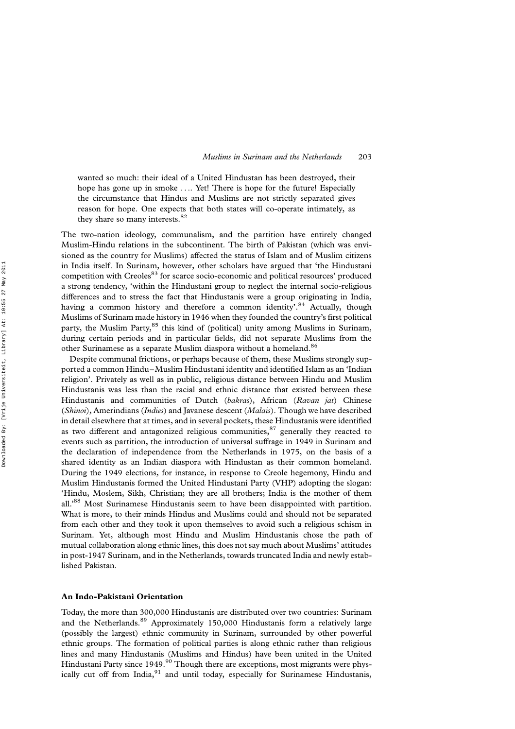wanted so much: their ideal of a United Hindustan has been destroyed, their hope has gone up in smoke .... Yet! There is hope for the future! Especially the circumstance that Hindus and Muslims are not strictly separated gives reason for hope. One expects that both states will co-operate intimately, as they share so many interests.<sup>82</sup>

The two-nation ideology, communalism, and the partition have entirely changed Muslim-Hindu relations in the subcontinent. The birth of Pakistan (which was envisioned as the country for Muslims) affected the status of Islam and of Muslim citizens in India itself. In Surinam, however, other scholars have argued that 'the Hindustani competition with Creoles<sup>83</sup> for scarce socio-economic and political resources' produced a strong tendency, 'within the Hindustani group to neglect the internal socio-religious differences and to stress the fact that Hindustanis were a group originating in India, having a common history and therefore a common identity'.<sup>84</sup> Actually, though Muslims of Surinam made history in 1946 when they founded the country's first political party, the Muslim Party,<sup>85</sup> this kind of (political) unity among Muslims in Surinam, during certain periods and in particular fields, did not separate Muslims from the other Surinamese as a separate Muslim diaspora without a homeland.<sup>86</sup>

Despite communal frictions, or perhaps because of them, these Muslims strongly supported a common Hindu-Muslim Hindustani identity and identified Islam as an 'Indian religion'. Privately as well as in public, religious distance between Hindu and Muslim Hindustanis was less than the racial and ethnic distance that existed between these Hindustanis and communities of Dutch (bakras), African (Ravan jat) Chinese (Shinoi), Amerindians (Indies) and Javanese descent (Malais). Though we have described in detail elsewhere that at times, and in several pockets, these Hindustanis were identified as two different and antagonized religious communities, $87$  generally they reacted to events such as partition, the introduction of universal suffrage in 1949 in Surinam and the declaration of independence from the Netherlands in 1975, on the basis of a shared identity as an Indian diaspora with Hindustan as their common homeland. During the 1949 elections, for instance, in response to Creole hegemony, Hindu and Muslim Hindustanis formed the United Hindustani Party (VHP) adopting the slogan: 'Hindu, Moslem, Sikh, Christian; they are all brothers; India is the mother of them all.<sup>88</sup> Most Surinamese Hindustanis seem to have been disappointed with partition. What is more, to their minds Hindus and Muslims could and should not be separated from each other and they took it upon themselves to avoid such a religious schism in Surinam. Yet, although most Hindu and Muslim Hindustanis chose the path of mutual collaboration along ethnic lines, this does not say much about Muslims' attitudes in post-1947 Surinam, and in the Netherlands, towards truncated India and newly established Pakistan.

## An Indo-Pakistani Orientation

Today, the more than 300,000 Hindustanis are distributed over two countries: Surinam and the Netherlands.<sup>89</sup> Approximately 150,000 Hindustanis form a relatively large (possibly the largest) ethnic community in Surinam, surrounded by other powerful ethnic groups. The formation of political parties is along ethnic rather than religious lines and many Hindustanis (Muslims and Hindus) have been united in the United Hindustani Party since 1949.<sup>90</sup> Though there are exceptions, most migrants were physically cut off from India, $91$  and until today, especially for Surinamese Hindustanis,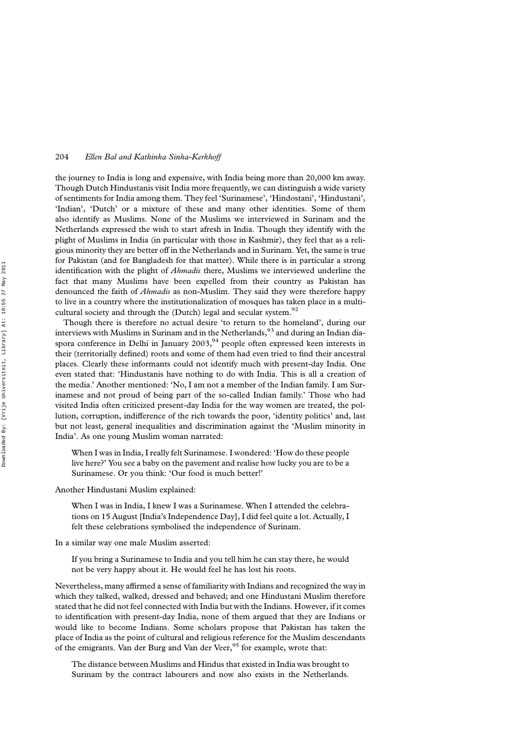the journey to India is long and expensive, with India being more than 20,000 km away. Though Dutch Hindustanis visit India more frequently, we can distinguish a wide variety of sentiments for India among them. They feel 'Surinamese', 'Hindostani', 'Hindustani', 'Indian', 'Dutch' or a mixture of these and many other identities. Some of them also identify as Muslims. None of the Muslims we interviewed in Surinam and the Netherlands expressed the wish to start afresh in India. Though they identify with the plight of Muslims in India (in particular with those in Kashmir), they feel that as a religious minority they are better off in the Netherlands and in Surinam. Yet, the same is true for Pakistan (and for Bangladesh for that matter). While there is in particular a strong identification with the plight of *Ahmadis* there, Muslims we interviewed underline the fact that many Muslims have been expelled from their country as Pakistan has denounced the faith of *Ahmadis* as non-Muslim. They said they were therefore happy to live in a country where the institutionalization of mosques has taken place in a multicultural society and through the (Dutch) legal and secular system.<sup>92</sup>

Though there is therefore no actual desire 'to return to the homeland', during our interviews with Muslims in Surinam and in the Netherlands, <sup>93</sup> and during an Indian diaspora conference in Delhi in January  $2003$ ,  $94$  people often expressed keen interests in their (territorially defined) roots and some of them had even tried to find their ancestral places. Clearly these informants could not identify much with present-day India. One even stated that: 'Hindustanis have nothing to do with India. This is all a creation of the media.' Another mentioned: 'No, I am not a member of the Indian family. I am Surinamese and not proud of being part of the so-called Indian family.' Those who had visited India often criticized present-day India for the way women are treated, the pollution, corruption, indifference of the rich towards the poor, 'identity politics' and, last but not least, general inequalities and discrimination against the 'Muslim minority in India'. As one young Muslim woman narrated:

When I was in India, I really felt Surinamese. I wondered: 'How do these people live here?' You see a baby on the pavement and realise how lucky you are to be a Surinamese. Or you think: 'Our food is much better!'

Another Hindustani Muslim explained:

When I was in India, I knew I was a Surinamese. When I attended the celebrations on 15 August [India's Independence Day], I did feel quite a lot. Actually, I felt these celebrations symbolised the independence of Surinam.

In a similar way one male Muslim asserted:

If you bring a Surinamese to India and you tell him he can stay there, he would not be very happy about it. He would feel he has lost his roots.

Nevertheless, many affirmed a sense of familiarity with Indians and recognized the way in which they talked, walked, dressed and behaved; and one Hindustani Muslim therefore stated that he did not feel connected with India but with the Indians. However, if it comes to identification with present-day India, none of them argued that they are Indians or would like to become Indians. Some scholars propose that Pakistan has taken the place of India as the point of cultural and religious reference for the Muslim descendants of the emigrants. Van der Burg and Van der Veer,<sup>95</sup> for example, wrote that:

The distance between Muslims and Hindus that existed in India was brought to Surinam by the contract labourers and now also exists in the Netherlands.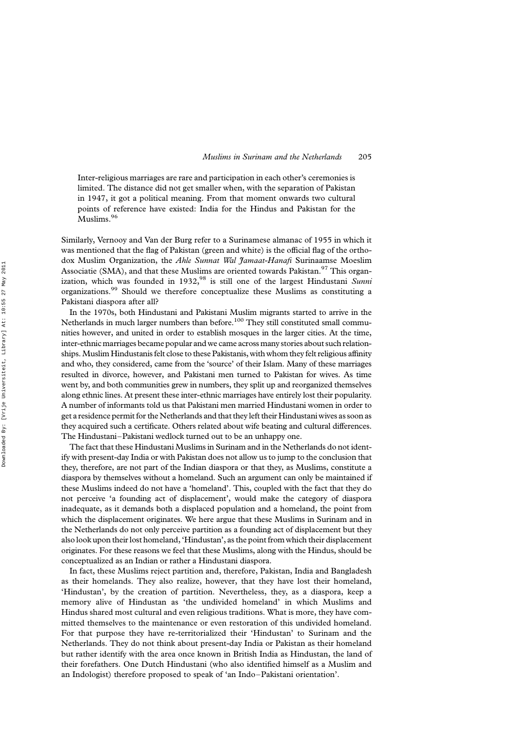Inter-religious marriages are rare and participation in each other's ceremonies is limited. The distance did not get smaller when, with the separation of Pakistan in 1947, it got a political meaning. From that moment onwards two cultural points of reference have existed: India for the Hindus and Pakistan for the Muslims.<sup>96</sup>

Similarly, Vernooy and Van der Burg refer to a Surinamese almanac of 1955 in which it was mentioned that the flag of Pakistan (green and white) is the official flag of the orthodox Muslim Organization, the *Ahle Sunnat Wal Jamaat-Hanafi* Surinaamse Moeslim Associatie (SMA), and that these Muslims are oriented towards Pakistan.<sup>97</sup> This organization, which was founded in 1932,  $98$  is still one of the largest Hindustani Sunni organizations.<sup>99</sup> Should we therefore conceptualize these Muslims as constituting a Pakistani diaspora after all?

In the 1970s, both Hindustani and Pakistani Muslim migrants started to arrive in the Netherlands in much larger numbers than before.<sup>100</sup> They still constituted small communities however, and united in order to establish mosques in the larger cities. At the time, inter-ethnic marriages became popular and we came across many stories about such relationships.Muslim Hindustanis felt close to these Pakistanis, with whom they felt religious affinity and who, they considered, came from the 'source' of their Islam. Many of these marriages resulted in divorce, however, and Pakistani men turned to Pakistan for wives. As time went by, and both communities grew in numbers, they split up and reorganized themselves along ethnic lines. At present these inter-ethnic marriages have entirely lost their popularity. A number of informants told us that Pakistani men married Hindustani women in order to get a residence permit for the Netherlands and that they left their Hindustani wives as soon as they acquired such a certificate. Others related about wife beating and cultural differences. The Hindustani–Pakistani wedlock turned out to be an unhappy one.

The fact that these Hindustani Muslims in Surinam and in the Netherlands do not identify with present-day India or with Pakistan does not allow us to jump to the conclusion that they, therefore, are not part of the Indian diaspora or that they, as Muslims, constitute a diaspora by themselves without a homeland. Such an argument can only be maintained if these Muslims indeed do not have a 'homeland'. This, coupled with the fact that they do not perceive 'a founding act of displacement', would make the category of diaspora inadequate, as it demands both a displaced population and a homeland, the point from which the displacement originates. We here argue that these Muslims in Surinam and in the Netherlands do not only perceive partition as a founding act of displacement but they also look upon their lost homeland, 'Hindustan', as the point from which their displacement originates. For these reasons we feel that these Muslims, along with the Hindus, should be conceptualized as an Indian or rather a Hindustani diaspora.

In fact, these Muslims reject partition and, therefore, Pakistan, India and Bangladesh as their homelands. They also realize, however, that they have lost their homeland, 'Hindustan', by the creation of partition. Nevertheless, they, as a diaspora, keep a memory alive of Hindustan as 'the undivided homeland' in which Muslims and Hindus shared most cultural and even religious traditions. What is more, they have committed themselves to the maintenance or even restoration of this undivided homeland. For that purpose they have re-territorialized their 'Hindustan' to Surinam and the Netherlands. They do not think about present-day India or Pakistan as their homeland but rather identify with the area once known in British India as Hindustan, the land of their forefathers. One Dutch Hindustani (who also identified himself as a Muslim and an Indologist) therefore proposed to speak of 'an Indo –Pakistani orientation'.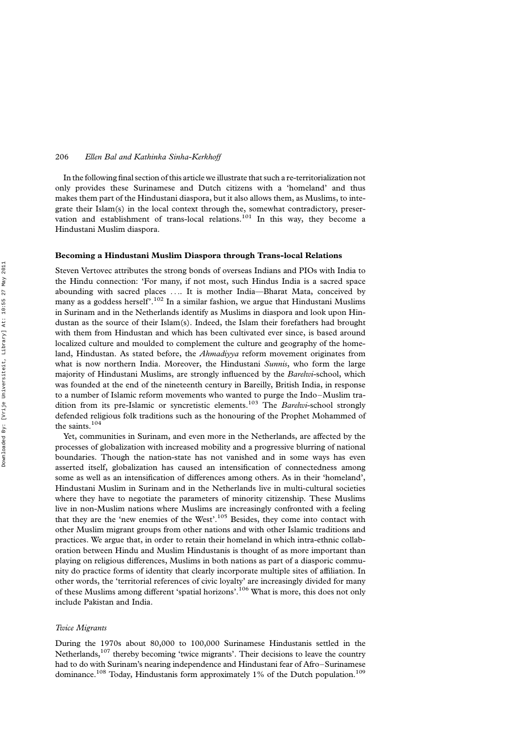In the following final section of this article we illustrate that such a re-territorialization not only provides these Surinamese and Dutch citizens with a 'homeland' and thus makes them part of the Hindustani diaspora, but it also allows them, as Muslims, to integrate their Islam(s) in the local context through the, somewhat contradictory, preservation and establishment of trans-local relations.<sup>101</sup> In this way, they become a Hindustani Muslim diaspora.

#### Becoming a Hindustani Muslim Diaspora through Trans-local Relations

Steven Vertovec attributes the strong bonds of overseas Indians and PIOs with India to the Hindu connection: 'For many, if not most, such Hindus India is a sacred space abounding with sacred places .... It is mother India—Bharat Mata, conceived by many as a goddess herself'.<sup>102</sup> In a similar fashion, we argue that Hindustani Muslims in Surinam and in the Netherlands identify as Muslims in diaspora and look upon Hindustan as the source of their Islam(s). Indeed, the Islam their forefathers had brought with them from Hindustan and which has been cultivated ever since, is based around localized culture and moulded to complement the culture and geography of the homeland, Hindustan. As stated before, the *Ahmadiyya* reform movement originates from what is now northern India. Moreover, the Hindustani Sunnis, who form the large majority of Hindustani Muslims, are strongly influenced by the Barelwi-school, which was founded at the end of the nineteenth century in Bareilly, British India, in response to a number of Islamic reform movements who wanted to purge the Indo –Muslim tradition from its pre-Islamic or syncretistic elements.<sup>103</sup> The *Barelwi*-school strongly defended religious folk traditions such as the honouring of the Prophet Mohammed of the saints.<sup>104</sup>

Yet, communities in Surinam, and even more in the Netherlands, are affected by the processes of globalization with increased mobility and a progressive blurring of national boundaries. Though the nation-state has not vanished and in some ways has even asserted itself, globalization has caused an intensification of connectedness among some as well as an intensification of differences among others. As in their 'homeland', Hindustani Muslim in Surinam and in the Netherlands live in multi-cultural societies where they have to negotiate the parameters of minority citizenship. These Muslims live in non-Muslim nations where Muslims are increasingly confronted with a feeling that they are the 'new enemies of the West'.<sup>105</sup> Besides, they come into contact with other Muslim migrant groups from other nations and with other Islamic traditions and practices. We argue that, in order to retain their homeland in which intra-ethnic collaboration between Hindu and Muslim Hindustanis is thought of as more important than playing on religious differences, Muslims in both nations as part of a diasporic community do practice forms of identity that clearly incorporate multiple sites of affiliation. In other words, the 'territorial references of civic loyalty' are increasingly divided for many of these Muslims among different 'spatial horizons'.<sup>106</sup> What is more, this does not only include Pakistan and India.

#### Twice Migrants

During the 1970s about 80,000 to 100,000 Surinamese Hindustanis settled in the Netherlands,<sup>107</sup> thereby becoming 'twice migrants'. Their decisions to leave the country had to do with Surinam's nearing independence and Hindustani fear of Afro–Surinamese dominance.<sup>108</sup> Today, Hindustanis form approximately 1% of the Dutch population.<sup>109</sup>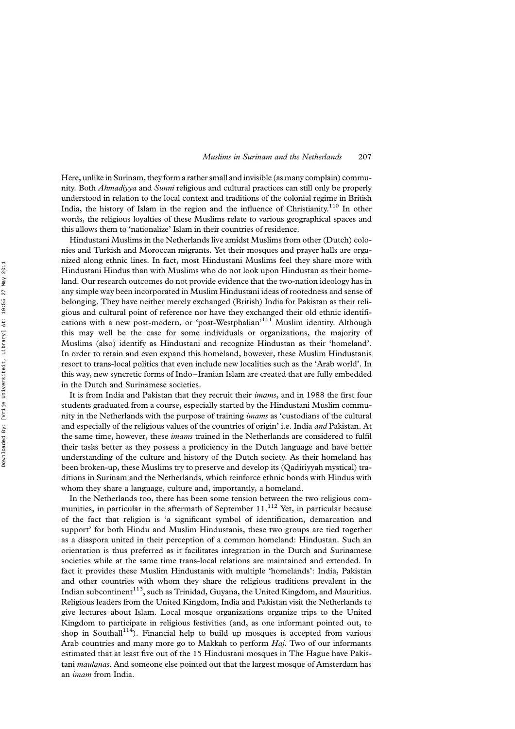Here, unlike in Surinam, they form a rather small and invisible (as many complain) community. Both Ahmadiyya and Sunni religious and cultural practices can still only be properly understood in relation to the local context and traditions of the colonial regime in British India, the history of Islam in the region and the influence of Christianity.<sup>110</sup> In other words, the religious loyalties of these Muslims relate to various geographical spaces and this allows them to 'nationalize' Islam in their countries of residence.

Hindustani Muslims in the Netherlands live amidst Muslims from other (Dutch) colonies and Turkish and Moroccan migrants. Yet their mosques and prayer halls are organized along ethnic lines. In fact, most Hindustani Muslims feel they share more with Hindustani Hindus than with Muslims who do not look upon Hindustan as their homeland. Our research outcomes do not provide evidence that the two-nation ideology has in any simple way been incorporated in Muslim Hindustani ideas of rootedness and sense of belonging. They have neither merely exchanged (British) India for Pakistan as their religious and cultural point of reference nor have they exchanged their old ethnic identifications with a new post-modern, or 'post-Westphalian'<sup>111</sup> Muslim identity. Although this may well be the case for some individuals or organizations, the majority of Muslims (also) identify as Hindustani and recognize Hindustan as their 'homeland'. In order to retain and even expand this homeland, however, these Muslim Hindustanis resort to trans-local politics that even include new localities such as the 'Arab world'. In this way, new syncretic forms of Indo – Iranian Islam are created that are fully embedded in the Dutch and Surinamese societies.

It is from India and Pakistan that they recruit their *imams*, and in 1988 the first four students graduated from a course, especially started by the Hindustani Muslim community in the Netherlands with the purpose of training imams as 'custodians of the cultural and especially of the religious values of the countries of origin' i.e. India *and* Pakistan. At the same time, however, these *imams* trained in the Netherlands are considered to fulfil their tasks better as they possess a proficiency in the Dutch language and have better understanding of the culture and history of the Dutch society. As their homeland has been broken-up, these Muslims try to preserve and develop its (Qadiriyyah mystical) traditions in Surinam and the Netherlands, which reinforce ethnic bonds with Hindus with whom they share a language, culture and, importantly, a homeland.

In the Netherlands too, there has been some tension between the two religious communities, in particular in the aftermath of September  $11$ .<sup>112</sup> Yet, in particular because of the fact that religion is 'a significant symbol of identification, demarcation and support' for both Hindu and Muslim Hindustanis, these two groups are tied together as a diaspora united in their perception of a common homeland: Hindustan. Such an orientation is thus preferred as it facilitates integration in the Dutch and Surinamese societies while at the same time trans-local relations are maintained and extended. In fact it provides these Muslim Hindustanis with multiple 'homelands': India, Pakistan and other countries with whom they share the religious traditions prevalent in the Indian subcontinent<sup>113</sup>, such as Trinidad, Guyana, the United Kingdom, and Mauritius. Religious leaders from the United Kingdom, India and Pakistan visit the Netherlands to give lectures about Islam. Local mosque organizations organize trips to the United Kingdom to participate in religious festivities (and, as one informant pointed out, to shop in Southall<sup>114</sup>). Financial help to build up mosques is accepted from various Arab countries and many more go to Makkah to perform Haj. Two of our informants estimated that at least five out of the 15 Hindustani mosques in The Hague have Pakistani maulanas. And someone else pointed out that the largest mosque of Amsterdam has an imam from India.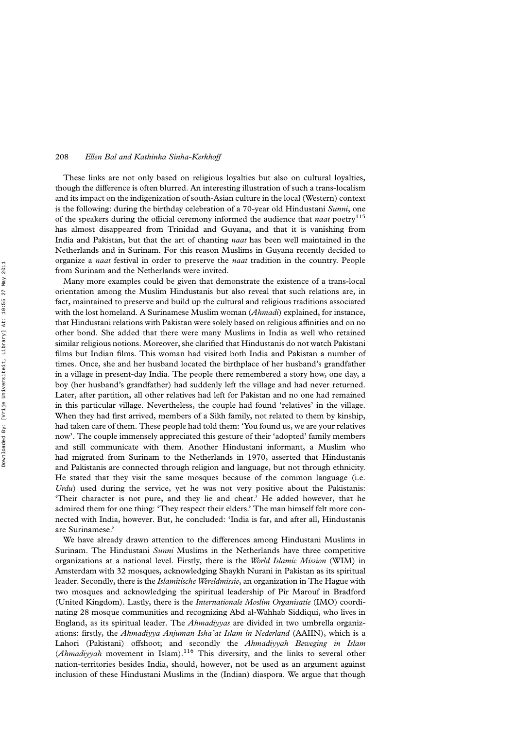These links are not only based on religious loyalties but also on cultural loyalties, though the difference is often blurred. An interesting illustration of such a trans-localism and its impact on the indigenization of south-Asian culture in the local (Western) context is the following: during the birthday celebration of a 70-year old Hindustani Sunni, one of the speakers during the official ceremony informed the audience that naat poetry<sup>115</sup> has almost disappeared from Trinidad and Guyana, and that it is vanishing from India and Pakistan, but that the art of chanting naat has been well maintained in the Netherlands and in Surinam. For this reason Muslims in Guyana recently decided to organize a naat festival in order to preserve the naat tradition in the country. People from Surinam and the Netherlands were invited.

Many more examples could be given that demonstrate the existence of a trans-local orientation among the Muslim Hindustanis but also reveal that such relations are, in fact, maintained to preserve and build up the cultural and religious traditions associated with the lost homeland. A Surinamese Muslim woman (*Ahmadi*) explained, for instance, that Hindustani relations with Pakistan were solely based on religious affinities and on no other bond. She added that there were many Muslims in India as well who retained similar religious notions. Moreover, she clarified that Hindustanis do not watch Pakistani films but Indian films. This woman had visited both India and Pakistan a number of times. Once, she and her husband located the birthplace of her husband's grandfather in a village in present-day India. The people there remembered a story how, one day, a boy (her husband's grandfather) had suddenly left the village and had never returned. Later, after partition, all other relatives had left for Pakistan and no one had remained in this particular village. Nevertheless, the couple had found 'relatives' in the village. When they had first arrived, members of a Sikh family, not related to them by kinship, had taken care of them. These people had told them: 'You found us, we are your relatives now'. The couple immensely appreciated this gesture of their 'adopted' family members and still communicate with them. Another Hindustani informant, a Muslim who had migrated from Surinam to the Netherlands in 1970, asserted that Hindustanis and Pakistanis are connected through religion and language, but not through ethnicity. He stated that they visit the same mosques because of the common language (i.e. Urdu) used during the service, yet he was not very positive about the Pakistanis: 'Their character is not pure, and they lie and cheat.' He added however, that he admired them for one thing: 'They respect their elders.' The man himself felt more connected with India, however. But, he concluded: 'India is far, and after all, Hindustanis are Surinamese.'

We have already drawn attention to the differences among Hindustani Muslims in Surinam. The Hindustani Sunni Muslims in the Netherlands have three competitive organizations at a national level. Firstly, there is the World Islamic Mission (WIM) in Amsterdam with 32 mosques, acknowledging Shaykh Nurani in Pakistan as its spiritual leader. Secondly, there is the Islamitische Wereldmissie, an organization in The Hague with two mosques and acknowledging the spiritual leadership of Pir Marouf in Bradford (United Kingdom). Lastly, there is the Internationale Moslim Organisatie (IMO) coordinating 28 mosque communities and recognizing Abd al-Wahhab Siddiqui, who lives in England, as its spiritual leader. The Ahmadiyyas are divided in two umbrella organizations: firstly, the Ahmadiyya Anjuman Isha'at Islam in Nederland (AAIIN), which is a Lahori (Pakistani) offshoot; and secondly the Ahmadiyyah Beweging in Islam (Ahmadiyyah movement in Islam).<sup>116</sup> This diversity, and the links to several other nation-territories besides India, should, however, not be used as an argument against inclusion of these Hindustani Muslims in the (Indian) diaspora. We argue that though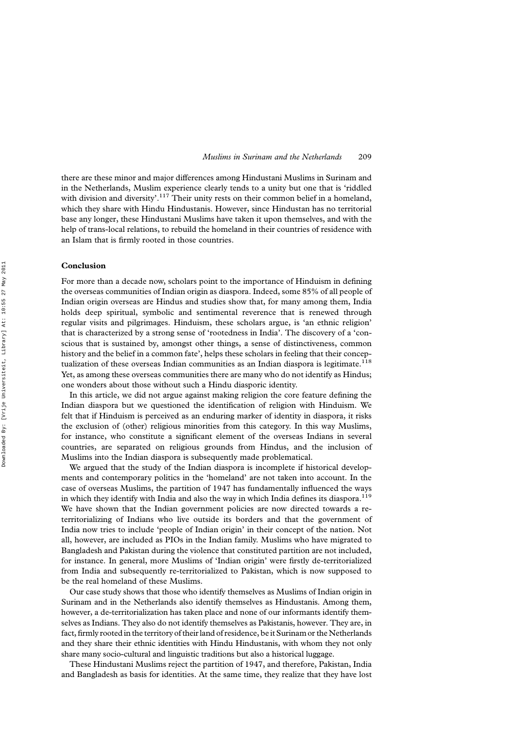there are these minor and major differences among Hindustani Muslims in Surinam and in the Netherlands, Muslim experience clearly tends to a unity but one that is 'riddled with division and diversity'.<sup>117</sup> Their unity rests on their common belief in a homeland, which they share with Hindu Hindustanis. However, since Hindustan has no territorial base any longer, these Hindustani Muslims have taken it upon themselves, and with the help of trans-local relations, to rebuild the homeland in their countries of residence with an Islam that is firmly rooted in those countries.

## Conclusion

For more than a decade now, scholars point to the importance of Hinduism in defining the overseas communities of Indian origin as diaspora. Indeed, some 85% of all people of Indian origin overseas are Hindus and studies show that, for many among them, India holds deep spiritual, symbolic and sentimental reverence that is renewed through regular visits and pilgrimages. Hinduism, these scholars argue, is 'an ethnic religion' that is characterized by a strong sense of 'rootedness in India'. The discovery of a 'conscious that is sustained by, amongst other things, a sense of distinctiveness, common history and the belief in a common fate', helps these scholars in feeling that their conceptualization of these overseas Indian communities as an Indian diaspora is legitimate.<sup>118</sup> Yet, as among these overseas communities there are many who do not identify as Hindus; one wonders about those without such a Hindu diasporic identity.

In this article, we did not argue against making religion the core feature defining the Indian diaspora but we questioned the identification of religion with Hinduism. We felt that if Hinduism is perceived as an enduring marker of identity in diaspora, it risks the exclusion of (other) religious minorities from this category. In this way Muslims, for instance, who constitute a significant element of the overseas Indians in several countries, are separated on religious grounds from Hindus, and the inclusion of Muslims into the Indian diaspora is subsequently made problematical.

We argued that the study of the Indian diaspora is incomplete if historical developments and contemporary politics in the 'homeland' are not taken into account. In the case of overseas Muslims, the partition of 1947 has fundamentally influenced the ways in which they identify with India and also the way in which India defines its diaspora.<sup>119</sup> We have shown that the Indian government policies are now directed towards a reterritorializing of Indians who live outside its borders and that the government of India now tries to include 'people of Indian origin' in their concept of the nation. Not all, however, are included as PIOs in the Indian family. Muslims who have migrated to Bangladesh and Pakistan during the violence that constituted partition are not included, for instance. In general, more Muslims of 'Indian origin' were firstly de-territorialized from India and subsequently re-territorialized to Pakistan, which is now supposed to be the real homeland of these Muslims.

Our case study shows that those who identify themselves as Muslims of Indian origin in Surinam and in the Netherlands also identify themselves as Hindustanis. Among them, however, a de-territorialization has taken place and none of our informants identify themselves as Indians. They also do not identify themselves as Pakistanis, however. They are, in fact, firmly rooted in the territory of their land of residence, be it Surinam or the Netherlands and they share their ethnic identities with Hindu Hindustanis, with whom they not only share many socio-cultural and linguistic traditions but also a historical luggage.

These Hindustani Muslims reject the partition of 1947, and therefore, Pakistan, India and Bangladesh as basis for identities. At the same time, they realize that they have lost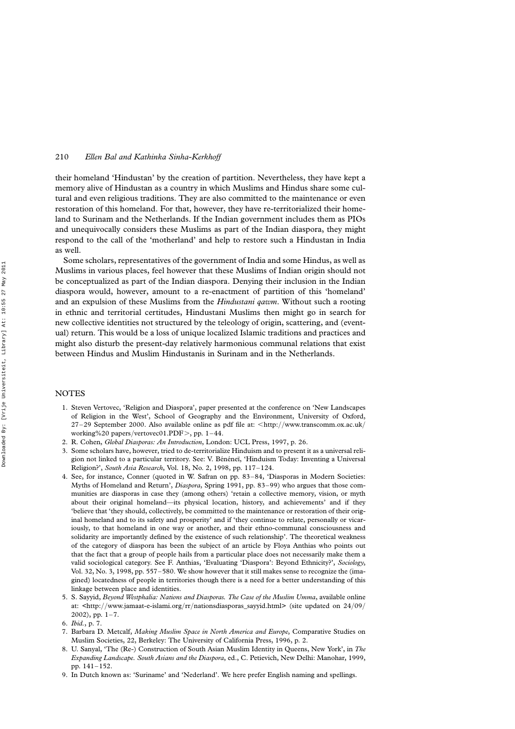their homeland 'Hindustan' by the creation of partition. Nevertheless, they have kept a memory alive of Hindustan as a country in which Muslims and Hindus share some cultural and even religious traditions. They are also committed to the maintenance or even restoration of this homeland. For that, however, they have re-territorialized their homeland to Surinam and the Netherlands. If the Indian government includes them as PIOs and unequivocally considers these Muslims as part of the Indian diaspora, they might respond to the call of the 'motherland' and help to restore such a Hindustan in India as well.

Some scholars, representatives of the government of India and some Hindus, as well as Muslims in various places, feel however that these Muslims of Indian origin should not be conceptualized as part of the Indian diaspora. Denying their inclusion in the Indian diaspora would, however, amount to a re-enactment of partition of this 'homeland' and an expulsion of these Muslims from the *Hindustani qawm*. Without such a rooting in ethnic and territorial certitudes, Hindustani Muslims then might go in search for new collective identities not structured by the teleology of origin, scattering, and (eventual) return. This would be a loss of unique localized Islamic traditions and practices and might also disturb the present-day relatively harmonious communal relations that exist between Hindus and Muslim Hindustanis in Surinam and in the Netherlands.

## **NOTES**

- 1. Steven Vertovec, 'Religion and Diaspora', paper presented at the conference on 'New Landscapes of Religion in the West', School of Geography and the Environment, University of Oxford, 27–29 September 2000. Also available online as pdf file at:  $\langle \text{http://www.transcomm.ox.ac.uk/} \rangle$ working%20 papers/vertovec01.PDF>, pp. 1-44.
- 2. R. Cohen, Global Diasporas: An Introduction, London: UCL Press, 1997, p. 26.
- 3. Some scholars have, however, tried to de-territorialize Hinduism and to present it as a universal religion not linked to a particular territory. See: V. Bénéneï, 'Hinduism Today: Inventing a Universal Religion?', South Asia Research, Vol. 18, No. 2, 1998, pp. 117-124.
- 4. See, for instance, Conner (quoted in W. Safran on pp. 83–84, 'Diasporas in Modern Societies: Myths of Homeland and Return', Diaspora, Spring 1991, pp. 83–99) who argues that those communities are diasporas in case they (among others) 'retain a collective memory, vision, or myth about their original homeland—its physical location, history, and achievements' and if they 'believe that 'they should, collectively, be committed to the maintenance or restoration of their original homeland and to its safety and prosperity' and if 'they continue to relate, personally or vicariously, to that homeland in one way or another, and their ethno-communal consciousness and solidarity are importantly defined by the existence of such relationship'. The theoretical weakness of the category of diaspora has been the subject of an article by Floya Anthias who points out that the fact that a group of people hails from a particular place does not necessarily make them a valid sociological category. See F. Anthias, 'Evaluating 'Diaspora': Beyond Ethnicity?', Sociology, Vol. 32, No. 3, 1998, pp. 557–580. We show however that it still makes sense to recognize the (imagined) locatedness of people in territories though there is a need for a better understanding of this linkage between place and identities.
- 5. S. Sayyid, Beyond Westphalia: Nations and Diasporas. The Case of the Muslim Umma, available online at: <http://www.jamaat-e-islami.org/rr/nationsdiasporas\_sayyid.html> (site updated on 24/09/  $2002$ ), pp.  $1-7$ .
- 6. Ibid., p. 7.
- 7. Barbara D. Metcalf, Making Muslim Space in North America and Europe, Comparative Studies on Muslim Societies, 22, Berkeley: The University of California Press, 1996, p. 2.
- 8. U. Sanyal, 'The (Re-) Construction of South Asian Muslim Identity in Queens, New York', in The Expanding Landscape. South Asians and the Diaspora, ed., C. Petievich, New Delhi: Manohar, 1999, pp. 141–152.
- 9. In Dutch known as: 'Suriname' and 'Nederland'. We here prefer English naming and spellings.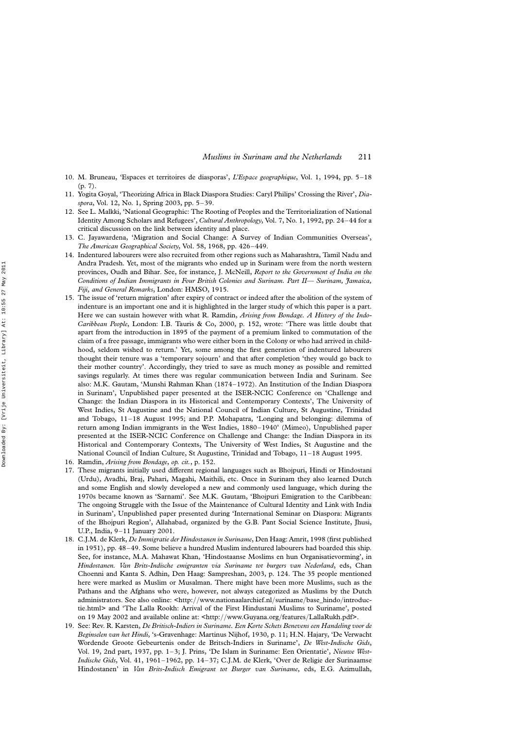- 10. M. Bruneau, 'Espaces et territoires de diasporas', L'Espace geographique, Vol. 1, 1994, pp. 5-18 (p. 7).
- 11. Yogita Goyal, 'Theorizing Africa in Black Diaspora Studies: Caryl Philips' Crossing the River', Diaspora, Vol. 12, No. 1, Spring 2003, pp. 5-39.
- 12. See L. Malkki, 'National Geographic: The Rooting of Peoples and the Territorialization of National Identity Among Scholars and Refugees', Cultural Anthropology, Vol. 7, No. 1, 1992, pp. 24–44 for a critical discussion on the link between identity and place.
- 13. C. Jayawardena, 'Migration and Social Change: A Survey of Indian Communities Overseas', The American Geographical Society, Vol. 58, 1968, pp. 426–449.
- 14. Indentured labourers were also recruited from other regions such as Maharashtra, Tamil Nadu and Andra Pradesh. Yet, most of the migrants who ended up in Surinam were from the north western provinces, Oudh and Bihar. See, for instance, J. McNeill, Report to the Government of India on the Conditions of Indian Immigrants in Four British Colonies and Surinam. Part II— Surinam, Jamaica, Fiji, and General Remarks, London: HMSO, 1915.
- 15. The issue of 'return migration' after expiry of contract or indeed after the abolition of the system of indenture is an important one and it is highlighted in the larger study of which this paper is a part. Here we can sustain however with what R. Ramdin, Arising from Bondage. A History of the Indo-Caribbean People, London: I.B. Tauris & Co, 2000, p. 152, wrote: 'There was little doubt that apart from the introduction in 1895 of the payment of a premium linked to commutation of the claim of a free passage, immigrants who were either born in the Colony or who had arrived in childhood, seldom wished to return.' Yet, some among the first generation of indentured labourers thought their tenure was a 'temporary sojourn' and that after completion 'they would go back to their mother country'. Accordingly, they tried to save as much money as possible and remitted savings regularly. At times there was regular communication between India and Surinam. See also: M.K. Gautam, 'Munshi Rahman Khan (1874–1972). An Institution of the Indian Diaspora in Surinam', Unpublished paper presented at the ISER-NCIC Conference on 'Challenge and Change: the Indian Diaspora in its Historical and Contemporary Contexts', The University of West Indies, St Augustine and the National Council of Indian Culture, St Augustine, Trinidad and Tobago, 11–18 August 1995; and P.P. Mohapatra, 'Longing and belonging: dilemma of return among Indian immigrants in the West Indies, 1880–1940' (Mimeo), Unpublished paper presented at the ISER-NCIC Conference on Challenge and Change: the Indian Diaspora in its Historical and Contemporary Contexts, The University of West Indies, St Augustine and the National Council of Indian Culture, St Augustine, Trinidad and Tobago, 11–18 August 1995.
- 16. Ramdin, Arising from Bondage, op. cit., p. 152.
- 17. These migrants initially used different regional languages such as Bhojpuri, Hindi or Hindostani (Urdu), Avadhi, Braj, Pahari, Magahi, Maithili, etc. Once in Surinam they also learned Dutch and some English and slowly developed a new and commonly used language, which during the 1970s became known as 'Sarnami'. See M.K. Gautam, 'Bhojpuri Emigration to the Caribbean: The ongoing Struggle with the Issue of the Maintenance of Cultural Identity and Link with India in Surinam', Unpublished paper presented during 'International Seminar on Diaspora: Migrants of the Bhojpuri Region', Allahabad, organized by the G.B. Pant Social Science Institute, Jhusi, U.P., India, 9-11 January 2001.
- 18. C.J.M. de Klerk, De Immigratie der Hindostanen in Suriname, Den Haag: Amrit, 1998 (first published in 1951), pp. 48–49. Some believe a hundred Muslim indentured labourers had boarded this ship. See, for instance, M.A. Mahawat Khan, 'Hindostaanse Moslims en hun Organisatievorming', in Hindostanen. Van Brits-Indische emigranten via Suriname tot burgers van Nederland, eds, Chan Choenni and Kanta S. Adhin, Den Haag: Sampreshan, 2003, p. 124. The 35 people mentioned here were marked as Muslim or Musalman. There might have been more Muslims, such as the Pathans and the Afghans who were, however, not always categorized as Muslims by the Dutch administrators. See also online: <http://www.nationaalarchief.nl/suriname/base\_hindo/introductie.html> and 'The Lalla Rookh: Arrival of the First Hindustani Muslims to Suriname', posted on 19 May 2002 and available online at: <http://www.Guyana.org/features/LallaRukh.pdf>.
- 19. See: Rev. R. Karsten, De Britisch-Indiers in Suriname. Een Korte Schets Benevens een Handeling voor de Beginselen van het Hindi, 's-Gravenhage: Martinus Nijhof, 1930, p. 11; H.N. Hajary, 'De Verwacht Wordende Groote Gebeurtenis onder de Britsch-Indiers in Suriname', De West-Indische Gids, Vol. 19, 2nd part, 1937, pp. 1–3; J. Prins, 'De Islam in Suriname: Een Orientatie', Nieuwe West-Indische Gids, Vol. 41, 1961–1962, pp. 14–37; C.J.M. de Klerk, 'Over de Religie der Surinaamse Hindostanen' in Van Brits-Indisch Emigrant tot Burger van Suriname, eds, E.G. Azimullah,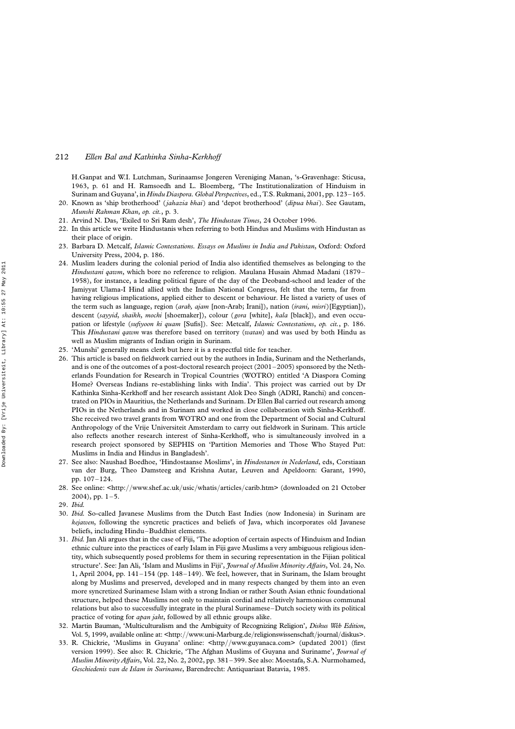H.Ganpat and W.I. Lutchman, Surinaamse Jongeren Vereniging Manan, 's-Gravenhage: Sticusa, 1963, p. 61 and H. Ramsoedh and L. Bloemberg, 'The Institutionalization of Hinduism in Surinam and Guyana', in Hindu Diaspora. Global Perspectives, ed., T.S. Rukmani, 2001, pp. 123–165.

- 20. Known as 'ship brotherhood' (jahazia bhai) and 'depot brotherhood' (dipua bhai). See Gautam, Munshi Rahman Khan, op. cit., p. 3.
- 21. Arvind N. Das, 'Exiled to Sri Ram desh', The Hindustan Times, 24 October 1996.
- 22. In this article we write Hindustanis when referring to both Hindus and Muslims with Hindustan as their place of origin.
- 23. Barbara D. Metcalf, Islamic Contestations. Essays on Muslims in India and Pakistan, Oxford: Oxford University Press, 2004, p. 186.
- 24. Muslim leaders during the colonial period of India also identified themselves as belonging to the Hindustani qawm, which bore no reference to religion. Maulana Husain Ahmad Madani (1879– 1958), for instance, a leading political figure of the day of the Deoband-school and leader of the Jamiyyat Ulama-I Hind allied with the Indian National Congress, felt that the term, far from having religious implications, applied either to descent or behaviour. He listed a variety of uses of the term such as language, region (*arab, ajam* [non-Arab; Irani]), nation (*irani, misri*)[Egyptian]), descent (sayyid, shaikh, mochi [shoemaker]), colour (gora [white], kala [black]), and even occupation or lifestyle (sufiyoon ki quam [Sufis]). See: Metcalf, Islamic Contestations, op. cit., p. 186. This *Hindustani qawm* was therefore based on territory (watan) and was used by both Hindu as well as Muslim migrants of Indian origin in Surinam.
- 25. 'Munshi' generally means clerk but here it is a respectful title for teacher.
- 26. This article is based on fieldwork carried out by the authors in India, Surinam and the Netherlands, and is one of the outcomes of a post-doctoral research project (2001–2005) sponsored by the Netherlands Foundation for Research in Tropical Countries (WOTRO) entitled 'A Diaspora Coming Home? Overseas Indians re-establishing links with India'. This project was carried out by Dr Kathinka Sinha-Kerkhoff and her research assistant Alok Deo Singh (ADRI, Ranchi) and concentrated on PIOs in Mauritius, the Netherlands and Surinam. Dr Ellen Bal carried out research among PIOs in the Netherlands and in Surinam and worked in close collaboration with Sinha-Kerkhoff. She received two travel grants from WOTRO and one from the Department of Social and Cultural Anthropology of the Vrije Universiteit Amsterdam to carry out fieldwork in Surinam. This article also reflects another research interest of Sinha-Kerkhoff, who is simultaneously involved in a research project sponsored by SEPHIS on 'Partition Memories and Those Who Stayed Put: Muslims in India and Hindus in Bangladesh'.
- 27. See also: Naushad Boedhoe, 'Hindostaanse Moslims', in Hindostanen in Nederland, eds, Corstiaan van der Burg, Theo Damsteeg and Krishna Autar, Leuven and Apeldoorn: Garant, 1990, pp. 107–124.
- 28. See online: <http://www.shef.ac.uk/usic/whatis/articles/carib.htm> (downloaded on 21 October  $2004$ ), pp.  $1-5$ .
- 29. Ibid.
- 30. Ibid. So-called Javanese Muslims from the Dutch East Indies (now Indonesia) in Surinam are kejawen, following the syncretic practices and beliefs of Java, which incorporates old Javanese beliefs, including Hindu–Buddhist elements.
- 31. Ibid. Jan Ali argues that in the case of Fiji, 'The adoption of certain aspects of Hinduism and Indian ethnic culture into the practices of early Islam in Fiji gave Muslims a very ambiguous religious identity, which subsequently posed problems for them in securing representation in the Fijian political structure'. See: Jan Ali, 'Islam and Muslims in Fiji', *Journal of Muslim Minority Affairs*, Vol. 24, No. 1, April 2004, pp. 141–154 (pp. 148 –149). We feel, however, that in Surinam, the Islam brought along by Muslims and preserved, developed and in many respects changed by them into an even more syncretized Surinamese Islam with a strong Indian or rather South Asian ethnic foundational structure, helped these Muslims not only to maintain cordial and relatively harmonious communal relations but also to successfully integrate in the plural Surinamese–Dutch society with its political practice of voting for apan jaht, followed by all ethnic groups alike.
- 32. Martin Bauman, 'Multiculturalism and the Ambiguity of Recognizing Religion', Diskus Web Edition, Vol. 5, 1999, available online at: <http://www.uni-Marburg.de/religionswissenschaft/journal/diskus>.
- 33. R. Chickrie, 'Muslims in Guyana' online: <http//www.guyanaca.com> (updated 2001) (first version 1999). See also: R. Chickrie, 'The Afghan Muslims of Guyana and Suriname', *Journal of* Muslim Minority Affairs, Vol. 22, No. 2, 2002, pp. 381 –399. See also: Moestafa, S.A. Nurmohamed, Geschiedenis van de Islam in Suriname, Barendrecht: Antiquariaat Batavia, 1985.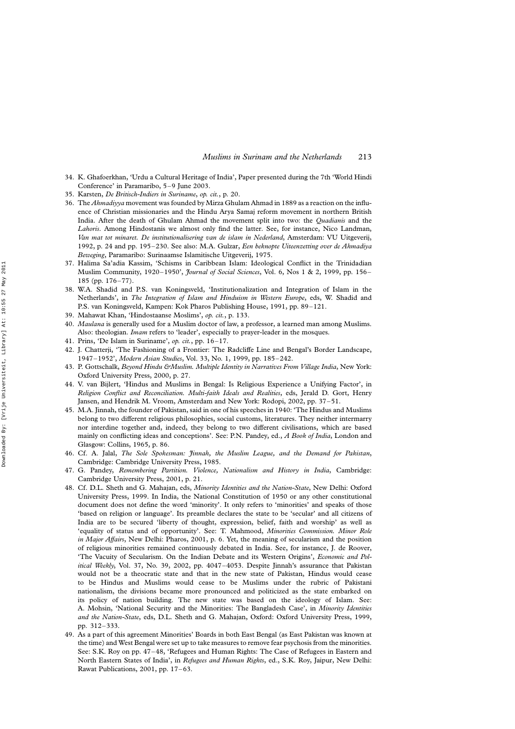- 34. K. Ghafoerkhan, 'Urdu a Cultural Heritage of India', Paper presented during the 7th 'World Hindi Conference' in Paramaribo, 5 –9 June 2003.
- 35. Karsten, De Britisch-Indiers in Suriname, op. cit., p. 20.
- 36. The Ahmadiyya movement was founded by Mirza Ghulam Ahmad in 1889 as a reaction on the influence of Christian missionaries and the Hindu Arya Samaj reform movement in northern British India. After the death of Ghulam Ahmad the movement split into two: the Quadianis and the Lahoris. Among Hindostanis we almost only find the latter. See, for instance, Nico Landman, Van mat tot minaret. De institutionalisering van de islam in Nederland, Amsterdam: VU Uitgeverij, 1992, p. 24 and pp. 195-230. See also: M.A. Gulzar, Een beknopte Uiteenzetting over de Ahmadiya Beweging, Paramaribo: Surinaamse Islamitische Uitgeverij, 1975.
- 37. Halima Sa'adia Kassim, 'Schisms in Caribbean Islam: Ideological Conflict in the Trinidadian Muslim Community, 1920–1950', *Journal of Social Sciences*, Vol. 6, Nos 1 & 2, 1999, pp. 156– 185 (pp. 176–77).
- 38. W.A. Shadid and P.S. van Koningsveld, 'Institutionalization and Integration of Islam in the Netherlands', in The Integration of Islam and Hinduism in Western Europe, eds, W. Shadid and P.S. van Koningsveld, Kampen: Kok Pharos Publishing House, 1991, pp. 89–121.
- 39. Mahawat Khan, 'Hindostaanse Moslims', op. cit., p. 133.
- 40. Maulana is generally used for a Muslim doctor of law, a professor, a learned man among Muslims. Also: theologian. *Imam* refers to 'leader', especially to prayer-leader in the mosques.
- 41. Prins, 'De Islam in Suriname', op. cit., pp. 16–17.
- 42. J. Chatterji, 'The Fashioning of a Frontier: The Radcliffe Line and Bengal's Border Landscape, 1947–1952', Modern Asian Studies, Vol. 33, No. 1, 1999, pp. 185–242.
- 43. P. Gottschalk, Beyond Hindu & Muslim. Multiple Identity in Narratives From Village India, New York: Oxford University Press, 2000, p. 27.
- 44. V. van Bijlert, 'Hindus and Muslims in Bengal: Is Religious Experience a Unifying Factor', in Religion Conflict and Reconciliation. Multi-faith Ideals and Realities, eds, Jerald D. Gort, Henry Jansen, and Hendrik M. Vroom, Amsterdam and New York: Rodopi, 2002, pp. 37–51.
- 45. M.A. Jinnah, the founder of Pakistan, said in one of his speeches in 1940: 'The Hindus and Muslims belong to two different religious philosophies, social customs, literatures. They neither intermarry nor interdine together and, indeed, they belong to two different civilisations, which are based mainly on conflicting ideas and conceptions'. See: P.N. Pandey, ed., A Book of India, London and Glasgow: Collins, 1965, p. 86.
- 46. Cf. A. Jalal, The Sole Spokesman: Jinnah, the Muslim League, and the Demand for Pakistan, Cambridge: Cambridge University Press, 1985.
- 47. G. Pandey, Remembering Partition. Violence, Nationalism and History in India, Cambridge: Cambridge University Press, 2001, p. 21.
- 48. Cf. D.L. Sheth and G. Mahajan, eds, Minority Identities and the Nation-State, New Delhi: Oxford University Press, 1999. In India, the National Constitution of 1950 or any other constitutional document does not define the word 'minority'. It only refers to 'minorities' and speaks of those 'based on religion or language'. Its preamble declares the state to be 'secular' and all citizens of India are to be secured 'liberty of thought, expression, belief, faith and worship' as well as 'equality of status and of opportunity'. See: T. Mahmood, Minorities Commission. Minor Role in Major Affairs, New Delhi: Pharos, 2001, p. 6. Yet, the meaning of secularism and the position of religious minorities remained continuously debated in India. See, for instance, J. de Roover, 'The Vacuity of Secularism. On the Indian Debate and its Western Origins', Economic and Political Weekly, Vol. 37, No. 39, 2002, pp. 4047-4053. Despite Jinnah's assurance that Pakistan would not be a theocratic state and that in the new state of Pakistan, Hindus would cease to be Hindus and Muslims would cease to be Muslims under the rubric of Pakistani nationalism, the divisions became more pronounced and politicized as the state embarked on its policy of nation building. The new state was based on the ideology of Islam. See: A. Mohsin, 'National Security and the Minorities: The Bangladesh Case', in Minority Identities and the Nation-State, eds, D.L. Sheth and G. Mahajan, Oxford: Oxford University Press, 1999, pp. 312–333.
- 49. As a part of this agreement Minorities' Boards in both East Bengal (as East Pakistan was known at the time) and West Bengal were set up to take measures to remove fear psychosis from the minorities. See: S.K. Roy on pp. 47–48, 'Refugees and Human Rights: The Case of Refugees in Eastern and North Eastern States of India', in Refugees and Human Rights, ed., S.K. Roy, Jaipur, New Delhi: Rawat Publications, 2001, pp. 17–63.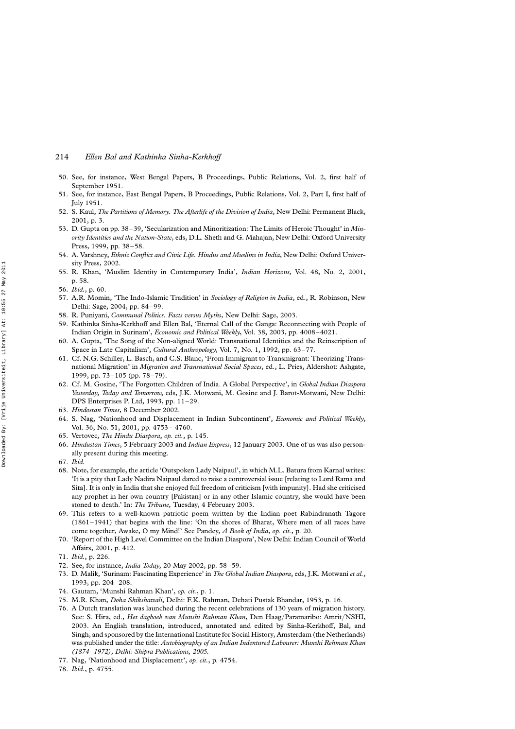- 50. See, for instance, West Bengal Papers, B Proceedings, Public Relations, Vol. 2, first half of September 1951.
- 51. See, for instance, East Bengal Papers, B Proceedings, Public Relations, Vol. 2, Part I, first half of July 1951.
- 52. S. Kaul, The Partitions of Memory. The Afterlife of the Division of India, New Delhi: Permanent Black, 2001, p. 3.
- 53. D. Gupta on pp. 38–39, 'Secularization and Minoritization: The Limits of Heroic Thought' in Minority Identities and the Nation-State, eds, D.L. Sheth and G. Mahajan, New Delhi: Oxford University Press, 1999, pp. 38–58.
- 54. A. Varshney, Ethnic Conflict and Civic Life. Hindus and Muslims in India, New Delhi: Oxford University Press, 2002.
- 55. R. Khan, 'Muslim Identity in Contemporary India', Indian Horizons, Vol. 48, No. 2, 2001, p. 58.
- 56. Ibid., p. 60.
- 57. A.R. Momin, 'The Indo-Islamic Tradition' in Sociology of Religion in India, ed., R. Robinson, New Delhi: Sage, 2004, pp. 84–99.
- 58. R. Puniyani, Communal Politics. Facts versus Myths, New Delhi: Sage, 2003.
- 59. Kathinka Sinha-Kerkhoff and Ellen Bal, 'Eternal Call of the Ganga: Reconnecting with People of Indian Origin in Surinam', Economic and Political Weekly, Vol. 38, 2003, pp. 4008–4021.
- 60. A. Gupta, 'The Song of the Non-aligned World: Transnational Identities and the Reinscription of Space in Late Capitalism', Cultural Anthropology, Vol. 7, No. 1, 1992, pp. 63–77.
- 61. Cf. N.G. Schiller, L. Basch, and C.S. Blanc, 'From Immigrant to Transmigrant: Theorizing Transnational Migration' in Migration and Transnational Social Spaces, ed., L. Pries, Aldershot: Ashgate, 1999, pp. 73–105 (pp. 78–79).
- 62. Cf. M. Gosine, 'The Forgotten Children of India. A Global Perspective', in Global Indian Diaspora Yesterday, Today and Tomorrow, eds, J.K. Motwani, M. Gosine and J. Barot-Motwani, New Delhi: DPS Enterprises P. Ltd, 1993, pp. 11–29.
- 63. Hindostan Times, 8 December 2002.
- 64. S. Nag, 'Nationhood and Displacement in Indian Subcontinent', Economic and Political Weekly, Vol. 36, No. 51, 2001, pp. 4753– 4760.
- 65. Vertovec, The Hindu Diaspora, op. cit., p. 145.
- 66. Hindustan Times, 5 February 2003 and Indian Express, 12 January 2003. One of us was also personally present during this meeting.
- 67. Ibid.
- 68. Note, for example, the article 'Outspoken Lady Naipaul', in which M.L. Batura from Karnal writes: 'It is a pity that Lady Nadira Naipaul dared to raise a controversial issue [relating to Lord Rama and Sita]. It is only in India that she enjoyed full freedom of criticism [with impunity]. Had she criticised any prophet in her own country [Pakistan] or in any other Islamic country, she would have been stoned to death.' In: The Tribune, Tuesday, 4 February 2003.
- 69. This refers to a well-known patriotic poem written by the Indian poet Rabindranath Tagore (1861–1941) that begins with the line: 'On the shores of Bharat, Where men of all races have come together, Awake, O my Mind!' See Pandey, A Book of India, op. cit., p. 20.
- 70. 'Report of the High Level Committee on the Indian Diaspora', New Delhi: Indian Council of World Affairs, 2001, p. 412.
- 71. Ibid., p. 226.
- 72. See, for instance, India Today, 20 May 2002, pp. 58–59.
- 73. D. Malik, 'Surinam: Fascinating Experience' in The Global Indian Diaspora, eds, J.K. Motwani et al., 1993, pp. 204–208.
- 74. Gautam, 'Munshi Rahman Khan', op. cit., p. 1.
- 75. M.R. Khan, Doha Shikshawali, Delhi: F.K. Rahman, Dehati Pustak Bhandar, 1953, p. 16.
- 76. A Dutch translation was launched during the recent celebrations of 130 years of migration history. See: S. Hira, ed., Het dagboek van Munshi Rahman Khan, Den Haag/Paramaribo: Amrit/NSHI, 2003. An English translation, introduced, annotated and edited by Sinha-Kerkhoff, Bal, and Singh, and sponsored by the International Institute for Social History, Amsterdam (the Netherlands) was published under the title: Autobiography of an Indian Indentured Labourer: Munshi Rehman Khan (1874–1972), Delhi: Shipra Publications, 2005.
- 77. Nag, 'Nationhood and Displacement', op. cit., p. 4754.
- 78. Ibid., p. 4755.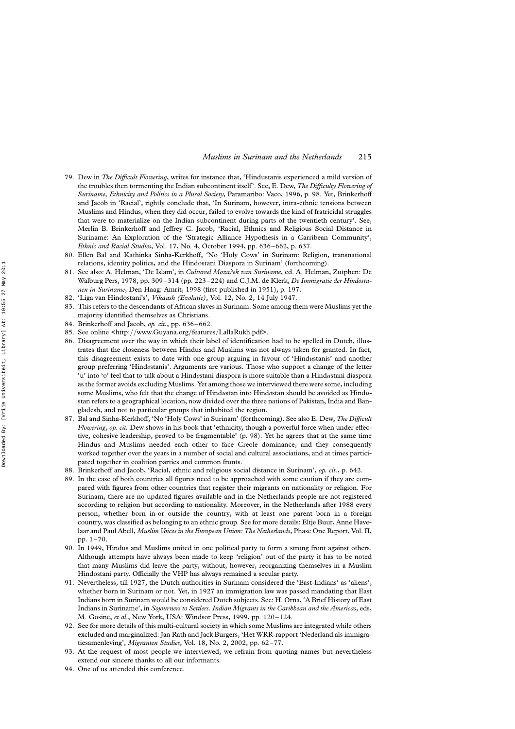- 79. Dew in The Difficult Flowering, writes for instance that, 'Hindustanis experienced a mild version of the troubles then tormenting the Indian subcontinent itself'. See, E. Dew, The Difficulty Flowering of Suriname, Ethnicity and Politics in a Plural Society, Paramaribo: Vaco, 1996, p. 98. Yet, Brinkerhoff and Jacob in 'Racial', rightly conclude that, 'In Surinam, however, intra-ethnic tensions between Muslims and Hindus, when they did occur, failed to evolve towards the kind of fratricidal struggles that were to materialize on the Indian subcontinent during parts of the twentieth century'. See, Merlin B. Brinkerhoff and Jeffrey C. Jacob, 'Racial, Ethnics and Religious Social Distance in Suriname: An Exploration of the 'Strategic Alliance Hypothesis in a Carribean Community', Ethnic and Racial Studies, Vol. 17, No. 4, October 1994, pp. 636–662, p. 637.
- 80. Ellen Bal and Kathinka Sinha-Kerkhoff, 'No 'Holy Cows' in Surinam: Religion, transnational relations, identity politics, and the Hindostani Diaspora in Surinam' (forthcoming).
- 81. See also: A. Helman, 'De Islam', in Cultureel Moza?ek van Suriname, ed. A. Helman, Zutphen: De Walburg Pers, 1978, pp. 309-314 (pp. 223-224) and C.J.M. de Klerk, De Immigratie der Hindostanen in Suriname, Den Haag: Amrit, 1998 (first published in 1951), p. 197.
- 82. 'Liga van Hindostani's', Vikaash (Evolutie), Vol. 12, No. 2, 14 July 1947.
- 83. This refers to the descendants of African slaves in Surinam. Some among them were Muslims yet the majority identified themselves as Christians.
- 84. Brinkerhoff and Jacob, op. cit., pp. 636-662.
- 85. See online <http://www.Guyana.org/features/LallaRukh.pdf>.
- 86. Disagreement over the way in which their label of identification had to be spelled in Dutch, illustrates that the closeness between Hindus and Muslims was not always taken for granted. In fact, this disagreement exists to date with one group arguing in favour of 'Hindustanis' and another group preferring 'Hindostanis'. Arguments are various. Those who support a change of the letter 'u' into 'o' feel that to talk about a Hindostani diaspora is more suitable than a Hindustani diaspora as the former avoids excluding Muslims. Yet among those we interviewed there were some, including some Muslims, who felt that the change of Hindustan into Hindostan should be avoided as Hindustan refers to a geographical location, now divided over the three nations of Pakistan, India and Bangladesh, and not to particular groups that inhabited the region.
- 87. Bal and Sinha-Kerkhoff, 'No 'Holy Cows' in Surinam' (forthcoming). See also E. Dew, The Difficult Flowering, op. cit. Dew shows in his book that 'ethnicity, though a powerful force when under effective, cohesive leadership, proved to be fragmentable' (p. 98). Yet he agrees that at the same time Hindus and Muslims needed each other to face Creole dominance, and they consequently worked together over the years in a number of social and cultural associations, and at times participated together in coalition parties and common fronts.
- 88. Brinkerhoff and Jacob, 'Racial, ethnic and religious social distance in Surinam', op. cit., p. 642.
- 89. In the case of both countries all figures need to be approached with some caution if they are compared with figures from other countries that register their migrants on nationality or religion. For Surinam, there are no updated figures available and in the Netherlands people are not registered according to religion but according to nationality. Moreover, in the Netherlands after 1988 every person, whether born in-or outside the country, with at least one parent born in a foreign country, was classified as belonging to an ethnic group. See for more details: Eltje Buur, Anne Havelaar and Paul Abell, Muslim Voices in the European Union: The Netherlands, Phase One Report, Vol. II, pp. 1–70.
- 90. In 1949, Hindus and Muslims united in one political party to form a strong front against others. Although attempts have always been made to keep 'religion' out of the party it has to be noted that many Muslims did leave the party, without, however, reorganizing themselves in a Muslim Hindostani party. Officially the VHP has always remained a secular party.
- 91. Nevertheless, till 1927, the Dutch authorities in Surinam considered the 'East-Indians' as 'aliens', whether born in Surinam or not. Yet, in 1927 an immigration law was passed mandating that East Indians born in Surinam would be considered Dutch subjects. See: H. Orna, 'A Brief History of East Indians in Suriname', in Sojourners to Settlers. Indian Migrants in the Caribbean and the Americas, eds, M. Gosine, et al., New York, USA: Windsor Press, 1999, pp. 120-124.
- 92. See for more details of this multi-cultural society in which some Muslims are integrated while others excluded and marginalized: Jan Rath and Jack Burgers, 'Het WRR-rapport 'Nederland als immigratiesamenleving', Migranten Studies, Vol. 18, No. 2, 2002, pp. 62-77.
- 93. At the request of most people we interviewed, we refrain from quoting names but nevertheless extend our sincere thanks to all our informants.
- 94. One of us attended this conference.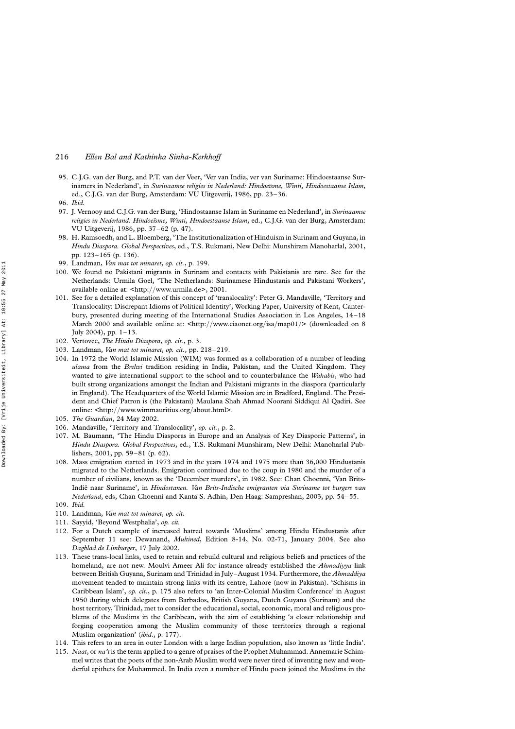- 95. C.J.G. van der Burg, and P.T. van der Veer, 'Ver van India, ver van Suriname: Hindoestaanse Surinamers in Nederland', in Surinaamse religies in Nederland: Hindoeisme, Winti, Hindoestaanse Islam, ed., C.J.G. van der Burg, Amsterdam: VU Uitgeverij, 1986, pp. 23–36.
- 96. Ibid.
- 97. J. Vernooy and C.J.G. van der Burg, 'Hindostaanse Islam in Suriname en Nederland', in Surinaamse religies in Nederland: Hindoeïsme, Winti, Hindoestaanse Islam, ed., C.J.G. van der Burg, Amsterdam: VU Uitgeverij, 1986, pp. 37–62 (p. 47).
- 98. H. Ramsoedh, and L. Bloemberg, 'The Institutionalization of Hinduism in Surinam and Guyana, in Hindu Diaspora. Global Perspectives, ed., T.S. Rukmani, New Delhi: Munshiram Manoharlal, 2001, pp. 123–165 (p. 136).
- 99. Landman, Van mat tot minaret, op. cit., p. 199.
- 100. We found no Pakistani migrants in Surinam and contacts with Pakistanis are rare. See for the Netherlands: Urmila Goel, 'The Netherlands: Surinamese Hindustanis and Pakistani Workers', available online at: <http://www.urmila.de>, 2001.
- 101. See for a detailed explanation of this concept of 'translocality': Peter G. Mandaville, 'Territory and Translocality: Discrepant Idioms of Political Identity', Working Paper, University of Kent, Canterbury, presented during meeting of the International Studies Association in Los Angeles, 14–18 March 2000 and available online at:  $\langle \text{http://www.ciaonet.org/isa/map01/>}$  (downloaded on 8) July 2004), pp. 1–13.
- 102. Vertovec, The Hindu Diaspora, op. cit., p. 3.
- 103. Landman, Van mat tot minaret, op. cit., pp. 218–219.
- 104. In 1972 the World Islamic Mission (WIM) was formed as a collaboration of a number of leading ulama from the Brelwi tradition residing in India, Pakistan, and the United Kingdom. They wanted to give international support to the school and to counterbalance the Wahabis, who had built strong organizations amongst the Indian and Pakistani migrants in the diaspora (particularly in England). The Headquarters of the World Islamic Mission are in Bradford, England. The President and Chief Patron is (the Pakistani) Maulana Shah Ahmad Noorani Siddiqui Al Qadiri. See online: <http://www.wimmauritius.org/about.html>.
- 105. The Guardian, 24 May 2002.
- 106. Mandaville, 'Territory and Translocality', op. cit., p. 2.
- 107. M. Baumann, 'The Hindu Diasporas in Europe and an Analysis of Key Diasporic Patterns', in Hindu Diaspora. Global Perspectives, ed., T.S. Rukmani Munshiram, New Delhi: Manoharlal Publishers, 2001, pp. 59–81 (p. 62).
- 108. Mass emigration started in 1973 and in the years 1974 and 1975 more than 36,000 Hindustanis migrated to the Netherlands. Emigration continued due to the coup in 1980 and the murder of a number of civilians, known as the 'December murders', in 1982. See: Chan Choenni, 'Van Brits-Indië naar Suriname', in Hindostanen. Van Brits-Indische emigranten via Suriname tot burgers van Nederland, eds, Chan Choenni and Kanta S. Adhin, Den Haag: Sampreshan, 2003, pp. 54–55.
- 109. Ibid.
- 110. Landman, Van mat tot minaret, op. cit.
- 111. Sayyid, 'Beyond Westphalia', op. cit.
- 112. For a Dutch example of increased hatred towards 'Muslims' among Hindu Hindustanis after September 11 see: Dewanand, Multined, Edition 8-14, No. 02-71, January 2004. See also Dagblad de Limburger, 17 July 2002.
- 113. These trans-local links, used to retain and rebuild cultural and religious beliefs and practices of the homeland, are not new. Moulvi Ameer Ali for instance already established the Ahmadiyya link between British Guyana, Surinam and Trinidad in July-August 1934. Furthermore, the Ahmaddiya movement tended to maintain strong links with its centre, Lahore (now in Pakistan). 'Schisms in Caribbean Islam', op. cit., p. 175 also refers to 'an Inter-Colonial Muslim Conference' in August 1950 during which delegates from Barbados, British Guyana, Dutch Guyana (Surinam) and the host territory, Trinidad, met to consider the educational, social, economic, moral and religious problems of the Muslims in the Caribbean, with the aim of establishing 'a closer relationship and forging cooperation among the Muslim community of those territories through a regional Muslim organization' (ibid., p. 177).
- 114. This refers to an area in outer London with a large Indian population, also known as 'little India'.
- 115. Naat, or na't is the term applied to a genre of praises of the Prophet Muhammad. Annemarie Schimmel writes that the poets of the non-Arab Muslim world were never tired of inventing new and wonderful epithets for Muhammed. In India even a number of Hindu poets joined the Muslims in the